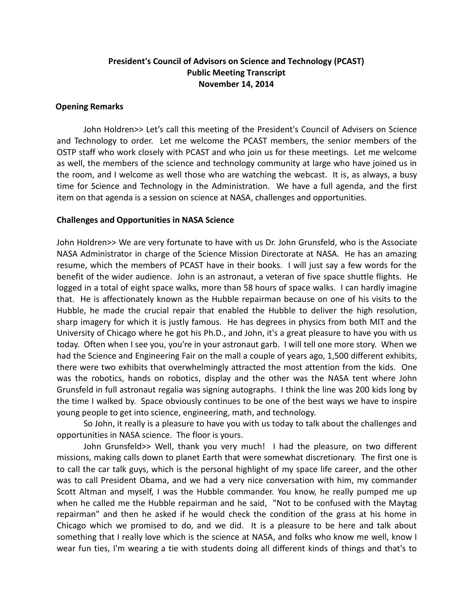# **President's Council of Advisors on Science and Technology (PCAST) Public Meeting Transcript November 14, 2014**

# **Opening Remarks**

John Holdren>> Let's call this meeting of the President's Council of Advisers on Science and Technology to order. Let me welcome the PCAST members, the senior members of the OSTP staff who work closely with PCAST and who join us for these meetings. Let me welcome as well, the members of the science and technology community at large who have joined us in the room, and I welcome as well those who are watching the webcast. It is, as always, a busy time for Science and Technology in the Administration. We have a full agenda, and the first item on that agenda is a session on science at NASA, challenges and opportunities.

# **Challenges and Opportunities in NASA Science**

John Holdren>> We are very fortunate to have with us Dr. John Grunsfeld, who is the Associate NASA Administrator in charge of the Science Mission Directorate at NASA. He has an amazing resume, which the members of PCAST have in their books. I will just say a few words for the benefit of the wider audience. John is an astronaut, a veteran of five space shuttle flights. He logged in a total of eight space walks, more than 58 hours of space walks. I can hardly imagine that. He is affectionately known as the Hubble repairman because on one of his visits to the Hubble, he made the crucial repair that enabled the Hubble to deliver the high resolution, sharp imagery for which it is justly famous. He has degrees in physics from both MIT and the University of Chicago where he got his Ph.D., and John, it's a great pleasure to have you with us today. Often when I see you, you're in your astronaut garb. I will tell one more story. When we had the Science and Engineering Fair on the mall a couple of years ago, 1,500 different exhibits, there were two exhibits that overwhelmingly attracted the most attention from the kids. One was the robotics, hands on robotics, display and the other was the NASA tent where John Grunsfeld in full astronaut regalia was signing autographs. I think the line was 200 kids long by the time I walked by. Space obviously continues to be one of the best ways we have to inspire young people to get into science, engineering, math, and technology.

So John, it really is a pleasure to have you with us today to talk about the challenges and opportunities in NASA science. The floor is yours.

John Grunsfeld>> Well, thank you very much! I had the pleasure, on two different missions, making calls down to planet Earth that were somewhat discretionary. The first one is to call the car talk guys, which is the personal highlight of my space life career, and the other was to call President Obama, and we had a very nice conversation with him, my commander Scott Altman and myself, I was the Hubble commander. You know, he really pumped me up when he called me the Hubble repairman and he said, "Not to be confused with the Maytag repairman" and then he asked if he would check the condition of the grass at his home in Chicago which we promised to do, and we did. It is a pleasure to be here and talk about something that I really love which is the science at NASA, and folks who know me well, know I wear fun ties, I'm wearing a tie with students doing all different kinds of things and that's to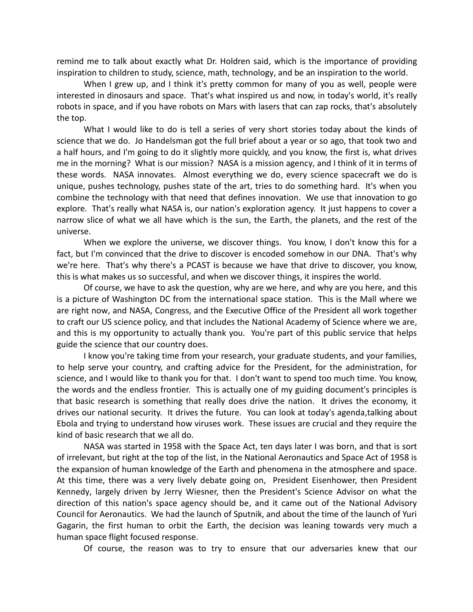remind me to talk about exactly what Dr. Holdren said, which is the importance of providing inspiration to children to study, science, math, technology, and be an inspiration to the world.

When I grew up, and I think it's pretty common for many of you as well, people were interested in dinosaurs and space. That's what inspired us and now, in today's world, it's really robots in space, and if you have robots on Mars with lasers that can zap rocks, that's absolutely the top.

What I would like to do is tell a series of very short stories today about the kinds of science that we do. Jo Handelsman got the full brief about a year or so ago, that took two and a half hours, and I'm going to do it slightly more quickly, and you know, the first is, what drives me in the morning? What is our mission? NASA is a mission agency, and I think of it in terms of these words. NASA innovates. Almost everything we do, every science spacecraft we do is unique, pushes technology, pushes state of the art, tries to do something hard. It's when you combine the technology with that need that defines innovation. We use that innovation to go explore. That's really what NASA is, our nation's exploration agency. It just happens to cover a narrow slice of what we all have which is the sun, the Earth, the planets, and the rest of the universe.

When we explore the universe, we discover things. You know, I don't know this for a fact, but I'm convinced that the drive to discover is encoded somehow in our DNA. That's why we're here. That's why there's a PCAST is because we have that drive to discover, you know, this is what makes us so successful, and when we discover things, it inspires the world.

Of course, we have to ask the question, why are we here, and why are you here, and this is a picture of Washington DC from the international space station. This is the Mall where we are right now, and NASA, Congress, and the Executive Office of the President all work together to craft our US science policy, and that includes the National Academy of Science where we are, and this is my opportunity to actually thank you. You're part of this public service that helps guide the science that our country does.

I know you're taking time from your research, your graduate students, and your families, to help serve your country, and crafting advice for the President, for the administration, for science, and I would like to thank you for that. I don't want to spend too much time. You know, the words and the endless frontier. This is actually one of my guiding document's principles is that basic research is something that really does drive the nation. It drives the economy, it drives our national security. It drives the future. You can look at today's agenda,talking about Ebola and trying to understand how viruses work. These issues are crucial and they require the kind of basic research that we all do.

NASA was started in 1958 with the Space Act, ten days later I was born, and that is sort of irrelevant, but right at the top of the list, in the National Aeronautics and Space Act of 1958 is the expansion of human knowledge of the Earth and phenomena in the atmosphere and space. At this time, there was a very lively debate going on, President Eisenhower, then President Kennedy, largely driven by Jerry Wiesner, then the President's Science Advisor on what the direction of this nation's space agency should be, and it came out of the National Advisory Council for Aeronautics. We had the launch of Sputnik, and about the time of the launch of Yuri Gagarin, the first human to orbit the Earth, the decision was leaning towards very much a human space flight focused response.

Of course, the reason was to try to ensure that our adversaries knew that our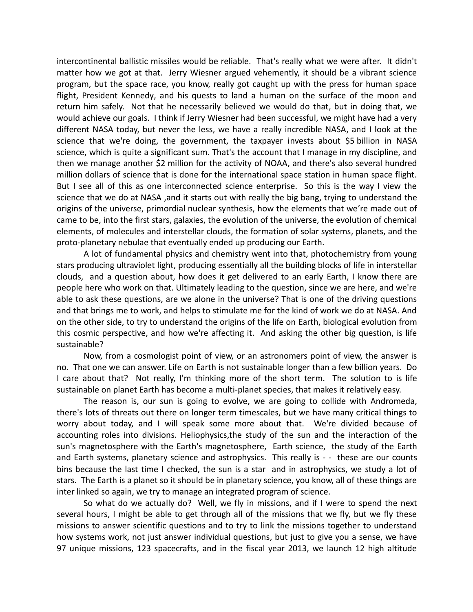intercontinental ballistic missiles would be reliable. That's really what we were after. It didn't matter how we got at that. Jerry Wiesner argued vehemently, it should be a vibrant science program, but the space race, you know, really got caught up with the press for human space flight, President Kennedy, and his quests to land a human on the surface of the moon and return him safely. Not that he necessarily believed we would do that, but in doing that, we would achieve our goals. I think if Jerry Wiesner had been successful, we might have had a very different NASA today, but never the less, we have a really incredible NASA, and I look at the science that we're doing, the government, the taxpayer invests about \$5 billion in NASA science, which is quite a significant sum. That's the account that I manage in my discipline, and then we manage another \$2 million for the activity of NOAA, and there's also several hundred million dollars of science that is done for the international space station in human space flight. But I see all of this as one interconnected science enterprise. So this is the way I view the science that we do at NASA ,and it starts out with really the big bang, trying to understand the origins of the universe, primordial nuclear synthesis, how the elements that we're made out of came to be, into the first stars, galaxies, the evolution of the universe, the evolution of chemical elements, of molecules and interstellar clouds, the formation of solar systems, planets, and the proto-planetary nebulae that eventually ended up producing our Earth.

A lot of fundamental physics and chemistry went into that, photochemistry from young stars producing ultraviolet light, producing essentially all the building blocks of life in interstellar clouds, and a question about, how does it get delivered to an early Earth, I know there are people here who work on that. Ultimately leading to the question, since we are here, and we're able to ask these questions, are we alone in the universe? That is one of the driving questions and that brings me to work, and helps to stimulate me for the kind of work we do at NASA. And on the other side, to try to understand the origins of the life on Earth, biological evolution from this cosmic perspective, and how we're affecting it. And asking the other big question, is life sustainable?

Now, from a cosmologist point of view, or an astronomers point of view, the answer is no. That one we can answer. Life on Earth is not sustainable longer than a few billion years. Do I care about that? Not really, I'm thinking more of the short term. The solution to is life sustainable on planet Earth has become a multi-planet species, that makes it relatively easy.

The reason is, our sun is going to evolve, we are going to collide with Andromeda, there's lots of threats out there on longer term timescales, but we have many critical things to worry about today, and I will speak some more about that. We're divided because of accounting roles into divisions. Heliophysics,the study of the sun and the interaction of the sun's magnetosphere with the Earth's magnetosphere, Earth science, the study of the Earth and Earth systems, planetary science and astrophysics. This really is - - these are our counts bins because the last time I checked, the sun is a star and in astrophysics, we study a lot of stars. The Earth is a planet so it should be in planetary science, you know, all of these things are inter linked so again, we try to manage an integrated program of science.

So what do we actually do? Well, we fly in missions, and if I were to spend the next several hours, I might be able to get through all of the missions that we fly, but we fly these missions to answer scientific questions and to try to link the missions together to understand how systems work, not just answer individual questions, but just to give you a sense, we have 97 unique missions, 123 spacecrafts, and in the fiscal year 2013, we launch 12 high altitude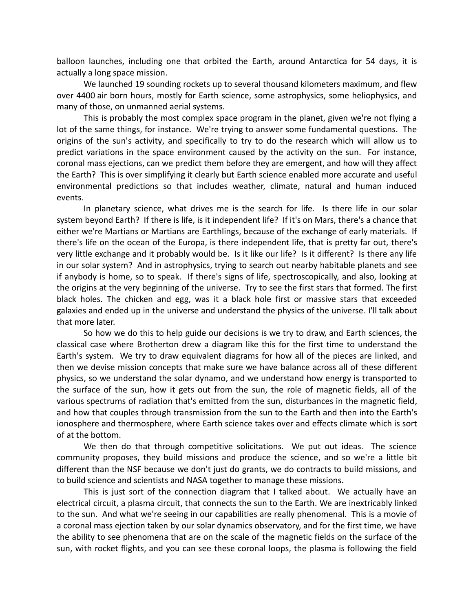balloon launches, including one that orbited the Earth, around Antarctica for 54 days, it is actually a long space mission.

We launched 19 sounding rockets up to several thousand kilometers maximum, and flew over 4400 air born hours, mostly for Earth science, some astrophysics, some heliophysics, and many of those, on unmanned aerial systems.

This is probably the most complex space program in the planet, given we're not flying a lot of the same things, for instance. We're trying to answer some fundamental questions. The origins of the sun's activity, and specifically to try to do the research which will allow us to predict variations in the space environment caused by the activity on the sun. For instance, coronal mass ejections, can we predict them before they are emergent, and how will they affect the Earth? This is over simplifying it clearly but Earth science enabled more accurate and useful environmental predictions so that includes weather, climate, natural and human induced events.

In planetary science, what drives me is the search for life. Is there life in our solar system beyond Earth? If there is life, is it independent life? If it's on Mars, there's a chance that either we're Martians or Martians are Earthlings, because of the exchange of early materials. If there's life on the ocean of the Europa, is there independent life, that is pretty far out, there's very little exchange and it probably would be. Is it like our life? Is it different? Is there any life in our solar system? And in astrophysics, trying to search out nearby habitable planets and see if anybody is home, so to speak. If there's signs of life, spectroscopically, and also, looking at the origins at the very beginning of the universe. Try to see the first stars that formed. The first black holes. The chicken and egg, was it a black hole first or massive stars that exceeded galaxies and ended up in the universe and understand the physics of the universe. I'll talk about that more later.

So how we do this to help guide our decisions is we try to draw, and Earth sciences, the classical case where Brotherton drew a diagram like this for the first time to understand the Earth's system. We try to draw equivalent diagrams for how all of the pieces are linked, and then we devise mission concepts that make sure we have balance across all of these different physics, so we understand the solar dynamo, and we understand how energy is transported to the surface of the sun, how it gets out from the sun, the role of magnetic fields, all of the various spectrums of radiation that's emitted from the sun, disturbances in the magnetic field, and how that couples through transmission from the sun to the Earth and then into the Earth's ionosphere and thermosphere, where Earth science takes over and effects climate which is sort of at the bottom.

We then do that through competitive solicitations. We put out ideas. The science community proposes, they build missions and produce the science, and so we're a little bit different than the NSF because we don't just do grants, we do contracts to build missions, and to build science and scientists and NASA together to manage these missions.

This is just sort of the connection diagram that I talked about. We actually have an electrical circuit, a plasma circuit, that connects the sun to the Earth. We are inextricably linked to the sun. And what we're seeing in our capabilities are really phenomenal. This is a movie of a coronal mass ejection taken by our solar dynamics observatory, and for the first time, we have the ability to see phenomena that are on the scale of the magnetic fields on the surface of the sun, with rocket flights, and you can see these coronal loops, the plasma is following the field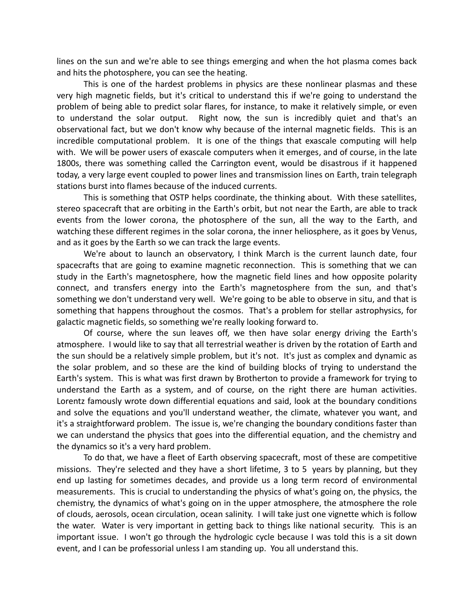lines on the sun and we're able to see things emerging and when the hot plasma comes back and hits the photosphere, you can see the heating.

This is one of the hardest problems in physics are these nonlinear plasmas and these very high magnetic fields, but it's critical to understand this if we're going to understand the problem of being able to predict solar flares, for instance, to make it relatively simple, or even to understand the solar output. Right now, the sun is incredibly quiet and that's an observational fact, but we don't know why because of the internal magnetic fields. This is an incredible computational problem. It is one of the things that exascale computing will help with. We will be power users of exascale computers when it emerges, and of course, in the late 1800s, there was something called the Carrington event, would be disastrous if it happened today, a very large event coupled to power lines and transmission lines on Earth, train telegraph stations burst into flames because of the induced currents.

This is something that OSTP helps coordinate, the thinking about. With these satellites, stereo spacecraft that are orbiting in the Earth's orbit, but not near the Earth, are able to track events from the lower corona, the photosphere of the sun, all the way to the Earth, and watching these different regimes in the solar corona, the inner heliosphere, as it goes by Venus, and as it goes by the Earth so we can track the large events.

We're about to launch an observatory, I think March is the current launch date, four spacecrafts that are going to examine magnetic reconnection. This is something that we can study in the Earth's magnetosphere, how the magnetic field lines and how opposite polarity connect, and transfers energy into the Earth's magnetosphere from the sun, and that's something we don't understand very well. We're going to be able to observe in situ, and that is something that happens throughout the cosmos. That's a problem for stellar astrophysics, for galactic magnetic fields, so something we're really looking forward to.

Of course, where the sun leaves off, we then have solar energy driving the Earth's atmosphere. I would like to say that all terrestrial weather is driven by the rotation of Earth and the sun should be a relatively simple problem, but it's not. It's just as complex and dynamic as the solar problem, and so these are the kind of building blocks of trying to understand the Earth's system. This is what was first drawn by Brotherton to provide a framework for trying to understand the Earth as a system, and of course, on the right there are human activities. Lorentz famously wrote down differential equations and said, look at the boundary conditions and solve the equations and you'll understand weather, the climate, whatever you want, and it's a straightforward problem. The issue is, we're changing the boundary conditions faster than we can understand the physics that goes into the differential equation, and the chemistry and the dynamics so it's a very hard problem.

To do that, we have a fleet of Earth observing spacecraft, most of these are competitive missions. They're selected and they have a short lifetime, 3 to 5 years by planning, but they end up lasting for sometimes decades, and provide us a long term record of environmental measurements. This is crucial to understanding the physics of what's going on, the physics, the chemistry, the dynamics of what's going on in the upper atmosphere, the atmosphere the role of clouds, aerosols, ocean circulation, ocean salinity. I will take just one vignette which is follow the water. Water is very important in getting back to things like national security. This is an important issue. I won't go through the hydrologic cycle because I was told this is a sit down event, and I can be professorial unless I am standing up. You all understand this.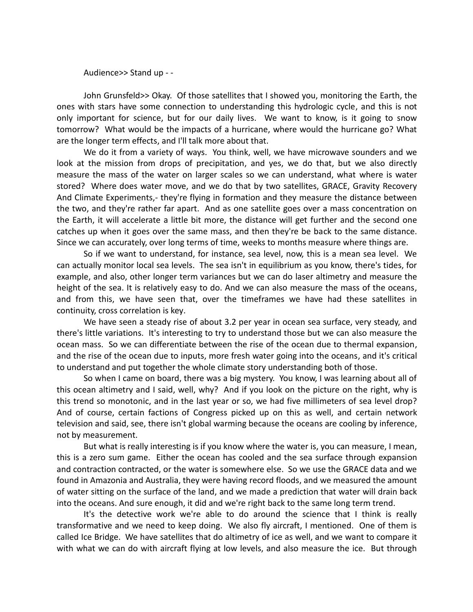Audience>> Stand up - -

John Grunsfeld>> Okay. Of those satellites that I showed you, monitoring the Earth, the ones with stars have some connection to understanding this hydrologic cycle, and this is not only important for science, but for our daily lives. We want to know, is it going to snow tomorrow? What would be the impacts of a hurricane, where would the hurricane go? What are the longer term effects, and I'll talk more about that.

We do it from a variety of ways. You think, well, we have microwave sounders and we look at the mission from drops of precipitation, and yes, we do that, but we also directly measure the mass of the water on larger scales so we can understand, what where is water stored? Where does water move, and we do that by two satellites, GRACE, Gravity Recovery And Climate Experiments,- they're flying in formation and they measure the distance between the two, and they're rather far apart. And as one satellite goes over a mass concentration on the Earth, it will accelerate a little bit more, the distance will get further and the second one catches up when it goes over the same mass, and then they're be back to the same distance. Since we can accurately, over long terms of time, weeks to months measure where things are.

So if we want to understand, for instance, sea level, now, this is a mean sea level. We can actually monitor local sea levels. The sea isn't in equilibrium as you know, there's tides, for example, and also, other longer term variances but we can do laser altimetry and measure the height of the sea. It is relatively easy to do. And we can also measure the mass of the oceans, and from this, we have seen that, over the timeframes we have had these satellites in continuity, cross correlation is key.

We have seen a steady rise of about 3.2 per year in ocean sea surface, very steady, and there's little variations. It's interesting to try to understand those but we can also measure the ocean mass. So we can differentiate between the rise of the ocean due to thermal expansion, and the rise of the ocean due to inputs, more fresh water going into the oceans, and it's critical to understand and put together the whole climate story understanding both of those.

So when I came on board, there was a big mystery. You know, I was learning about all of this ocean altimetry and I said, well, why? And if you look on the picture on the right, why is this trend so monotonic, and in the last year or so, we had five millimeters of sea level drop? And of course, certain factions of Congress picked up on this as well, and certain network television and said, see, there isn't global warming because the oceans are cooling by inference, not by measurement.

But what is really interesting is if you know where the water is, you can measure, I mean, this is a zero sum game. Either the ocean has cooled and the sea surface through expansion and contraction contracted, or the water is somewhere else. So we use the GRACE data and we found in Amazonia and Australia, they were having record floods, and we measured the amount of water sitting on the surface of the land, and we made a prediction that water will drain back into the oceans. And sure enough, it did and we're right back to the same long term trend.

It's the detective work we're able to do around the science that I think is really transformative and we need to keep doing. We also fly aircraft, I mentioned. One of them is called Ice Bridge. We have satellites that do altimetry of ice as well, and we want to compare it with what we can do with aircraft flying at low levels, and also measure the ice. But through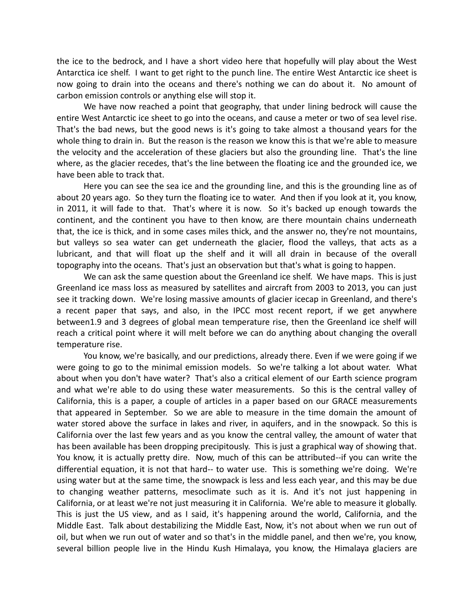the ice to the bedrock, and I have a short video here that hopefully will play about the West Antarctica ice shelf. I want to get right to the punch line. The entire West Antarctic ice sheet is now going to drain into the oceans and there's nothing we can do about it. No amount of carbon emission controls or anything else will stop it.

We have now reached a point that geography, that under lining bedrock will cause the entire West Antarctic ice sheet to go into the oceans, and cause a meter or two of sea level rise. That's the bad news, but the good news is it's going to take almost a thousand years for the whole thing to drain in. But the reason is the reason we know this is that we're able to measure the velocity and the acceleration of these glaciers but also the grounding line. That's the line where, as the glacier recedes, that's the line between the floating ice and the grounded ice, we have been able to track that.

Here you can see the sea ice and the grounding line, and this is the grounding line as of about 20 years ago. So they turn the floating ice to water. And then if you look at it, you know, in 2011, it will fade to that. That's where it is now. So it's backed up enough towards the continent, and the continent you have to then know, are there mountain chains underneath that, the ice is thick, and in some cases miles thick, and the answer no, they're not mountains, but valleys so sea water can get underneath the glacier, flood the valleys, that acts as a lubricant, and that will float up the shelf and it will all drain in because of the overall topography into the oceans. That's just an observation but that's what is going to happen.

We can ask the same question about the Greenland ice shelf. We have maps. This is just Greenland ice mass loss as measured by satellites and aircraft from 2003 to 2013, you can just see it tracking down. We're losing massive amounts of glacier icecap in Greenland, and there's a recent paper that says, and also, in the IPCC most recent report, if we get anywhere between1.9 and 3 degrees of global mean temperature rise, then the Greenland ice shelf will reach a critical point where it will melt before we can do anything about changing the overall temperature rise.

You know, we're basically, and our predictions, already there. Even if we were going if we were going to go to the minimal emission models. So we're talking a lot about water. What about when you don't have water? That's also a critical element of our Earth science program and what we're able to do using these water measurements. So this is the central valley of California, this is a paper, a couple of articles in a paper based on our GRACE measurements that appeared in September. So we are able to measure in the time domain the amount of water stored above the surface in lakes and river, in aquifers, and in the snowpack. So this is California over the last few years and as you know the central valley, the amount of water that has been available has been dropping precipitously. This is just a graphical way of showing that. You know, it is actually pretty dire. Now, much of this can be attributed--if you can write the differential equation, it is not that hard-- to water use. This is something we're doing. We're using water but at the same time, the snowpack is less and less each year, and this may be due to changing weather patterns, mesoclimate such as it is. And it's not just happening in California, or at least we're not just measuring it in California. We're able to measure it globally. This is just the US view, and as I said, it's happening around the world, California, and the Middle East. Talk about destabilizing the Middle East, Now, it's not about when we run out of oil, but when we run out of water and so that's in the middle panel, and then we're, you know, several billion people live in the Hindu Kush Himalaya, you know, the Himalaya glaciers are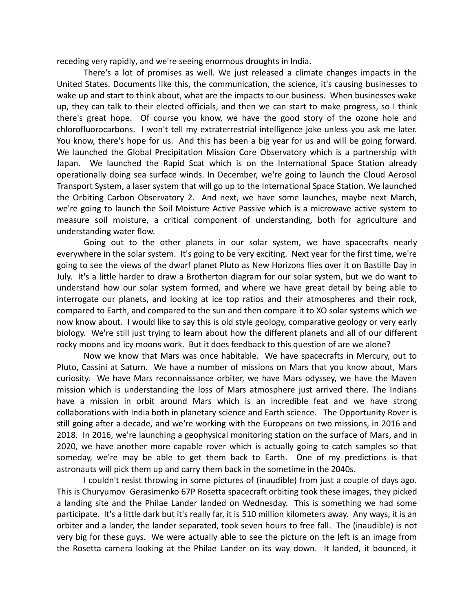receding very rapidly, and we're seeing enormous droughts in India.

There's a lot of promises as well. We just released a climate changes impacts in the United States. Documents like this, the communication, the science, it's causing businesses to wake up and start to think about, what are the impacts to our business. When businesses wake up, they can talk to their elected officials, and then we can start to make progress, so I think there's great hope. Of course you know, we have the good story of the ozone hole and chlorofluorocarbons. I won't tell my extraterrestrial intelligence joke unless you ask me later. You know, there's hope for us. And this has been a big year for us and will be going forward. We launched the Global Precipitation Mission Core Observatory which is a partnership with Japan. We launched the Rapid Scat which is on the International Space Station already operationally doing sea surface winds. In December, we're going to launch the Cloud Aerosol Transport System, a laser system that will go up to the International Space Station. We launched the Orbiting Carbon Observatory 2. And next, we have some launches, maybe next March, we're going to launch the Soil Moisture Active Passive which is a microwave active system to measure soil moisture, a critical component of understanding, both for agriculture and understanding water flow.

Going out to the other planets in our solar system, we have spacecrafts nearly everywhere in the solar system. It's going to be very exciting. Next year for the first time, we're going to see the views of the dwarf planet Pluto as New Horizons flies over it on Bastille Day in July. It's a little harder to draw a Brotherton diagram for our solar system, but we do want to understand how our solar system formed, and where we have great detail by being able to interrogate our planets, and looking at ice top ratios and their atmospheres and their rock, compared to Earth, and compared to the sun and then compare it to XO solar systems which we now know about. I would like to say this is old style geology, comparative geology or very early biology. We're still just trying to learn about how the different planets and all of our different rocky moons and icy moons work. But it does feedback to this question of are we alone?

Now we know that Mars was once habitable. We have spacecrafts in Mercury, out to Pluto, Cassini at Saturn. We have a number of missions on Mars that you know about, Mars curiosity. We have Mars reconnaissance orbiter, we have Mars odyssey, we have the Maven mission which is understanding the loss of Mars atmosphere just arrived there. The Indians have a mission in orbit around Mars which is an incredible feat and we have strong collaborations with India both in planetary science and Earth science. The Opportunity Rover is still going after a decade, and we're working with the Europeans on two missions, in 2016 and 2018. In 2016, we're launching a geophysical monitoring station on the surface of Mars, and in 2020, we have another more capable rover which is actually going to catch samples so that someday, we're may be able to get them back to Earth. One of my predictions is that astronauts will pick them up and carry them back in the sometime in the 2040s.

I couldn't resist throwing in some pictures of (inaudible) from just a couple of days ago. This is Churyumov Gerasimenko 67P Rosetta spacecraft orbiting took these images, they picked a landing site and the Philae Lander landed on Wednesday. This is something we had some participate. It's a little dark but it's really far, it is 510 million kilometers away. Any ways, it is an orbiter and a lander, the lander separated, took seven hours to free fall. The (inaudible) is not very big for these guys. We were actually able to see the picture on the left is an image from the Rosetta camera looking at the Philae Lander on its way down. It landed, it bounced, it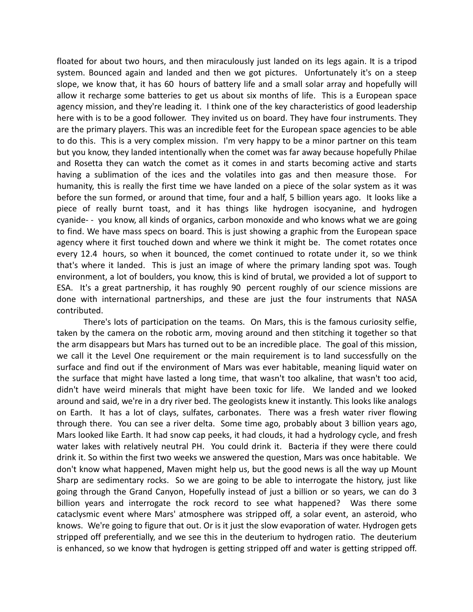floated for about two hours, and then miraculously just landed on its legs again. It is a tripod system. Bounced again and landed and then we got pictures. Unfortunately it's on a steep slope, we know that, it has 60 hours of battery life and a small solar array and hopefully will allow it recharge some batteries to get us about six months of life. This is a European space agency mission, and they're leading it. I think one of the key characteristics of good leadership here with is to be a good follower. They invited us on board. They have four instruments. They are the primary players. This was an incredible feet for the European space agencies to be able to do this. This is a very complex mission. I'm very happy to be a minor partner on this team but you know, they landed intentionally when the comet was far away because hopefully Philae and Rosetta they can watch the comet as it comes in and starts becoming active and starts having a sublimation of the ices and the volatiles into gas and then measure those. For humanity, this is really the first time we have landed on a piece of the solar system as it was before the sun formed, or around that time, four and a half, 5 billion years ago. It looks like a piece of really burnt toast, and it has things like hydrogen isocyanine, and hydrogen cyanide- - you know, all kinds of organics, carbon monoxide and who knows what we are going to find. We have mass specs on board. This is just showing a graphic from the European space agency where it first touched down and where we think it might be. The comet rotates once every 12.4 hours, so when it bounced, the comet continued to rotate under it, so we think that's where it landed. This is just an image of where the primary landing spot was. Tough environment, a lot of boulders, you know, this is kind of brutal, we provided a lot of support to ESA. It's a great partnership, it has roughly 90 percent roughly of our science missions are done with international partnerships, and these are just the four instruments that NASA contributed.

There's lots of participation on the teams. On Mars, this is the famous curiosity selfie, taken by the camera on the robotic arm, moving around and then stitching it together so that the arm disappears but Mars has turned out to be an incredible place. The goal of this mission, we call it the Level One requirement or the main requirement is to land successfully on the surface and find out if the environment of Mars was ever habitable, meaning liquid water on the surface that might have lasted a long time, that wasn't too alkaline, that wasn't too acid, didn't have weird minerals that might have been toxic for life. We landed and we looked around and said, we're in a dry river bed. The geologists knew it instantly. This looks like analogs on Earth. It has a lot of clays, sulfates, carbonates. There was a fresh water river flowing through there. You can see a river delta. Some time ago, probably about 3 billion years ago, Mars looked like Earth. It had snow cap peeks, it had clouds, it had a hydrology cycle, and fresh water lakes with relatively neutral PH. You could drink it. Bacteria if they were there could drink it. So within the first two weeks we answered the question, Mars was once habitable. We don't know what happened, Maven might help us, but the good news is all the way up Mount Sharp are sedimentary rocks. So we are going to be able to interrogate the history, just like going through the Grand Canyon, Hopefully instead of just a billion or so years, we can do 3 billion years and interrogate the rock record to see what happened? Was there some cataclysmic event where Mars' atmosphere was stripped off, a solar event, an asteroid, who knows. We're going to figure that out. Or is it just the slow evaporation of water. Hydrogen gets stripped off preferentially, and we see this in the deuterium to hydrogen ratio. The deuterium is enhanced, so we know that hydrogen is getting stripped off and water is getting stripped off.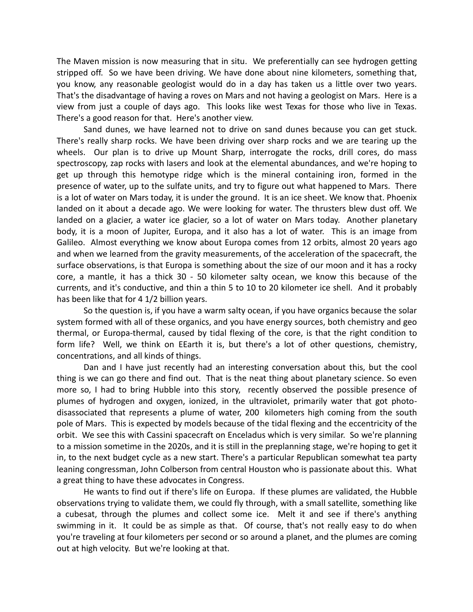The Maven mission is now measuring that in situ. We preferentially can see hydrogen getting stripped off. So we have been driving. We have done about nine kilometers, something that, you know, any reasonable geologist would do in a day has taken us a little over two years. That's the disadvantage of having a roves on Mars and not having a geologist on Mars. Here is a view from just a couple of days ago. This looks like west Texas for those who live in Texas. There's a good reason for that. Here's another view.

Sand dunes, we have learned not to drive on sand dunes because you can get stuck. There's really sharp rocks. We have been driving over sharp rocks and we are tearing up the wheels. Our plan is to drive up Mount Sharp, interrogate the rocks, drill cores, do mass spectroscopy, zap rocks with lasers and look at the elemental abundances, and we're hoping to get up through this hemotype ridge which is the mineral containing iron, formed in the presence of water, up to the sulfate units, and try to figure out what happened to Mars. There is a lot of water on Mars today, it is under the ground. It is an ice sheet. We know that. Phoenix landed on it about a decade ago. We were looking for water. The thrusters blew dust off. We landed on a glacier, a water ice glacier, so a lot of water on Mars today. Another planetary body, it is a moon of Jupiter, Europa, and it also has a lot of water. This is an image from Galileo. Almost everything we know about Europa comes from 12 orbits, almost 20 years ago and when we learned from the gravity measurements, of the acceleration of the spacecraft, the surface observations, is that Europa is something about the size of our moon and it has a rocky core, a mantle, it has a thick 30 - 50 kilometer salty ocean, we know this because of the currents, and it's conductive, and thin a thin 5 to 10 to 20 kilometer ice shell. And it probably has been like that for 4 1/2 billion years.

So the question is, if you have a warm salty ocean, if you have organics because the solar system formed with all of these organics, and you have energy sources, both chemistry and geo thermal, or Europa-thermal, caused by tidal flexing of the core, is that the right condition to form life? Well, we think on EEarth it is, but there's a lot of other questions, chemistry, concentrations, and all kinds of things.

Dan and I have just recently had an interesting conversation about this, but the cool thing is we can go there and find out. That is the neat thing about planetary science. So even more so, I had to bring Hubble into this story, recently observed the possible presence of plumes of hydrogen and oxygen, ionized, in the ultraviolet, primarily water that got photodisassociated that represents a plume of water, 200 kilometers high coming from the south pole of Mars. This is expected by models because of the tidal flexing and the eccentricity of the orbit. We see this with Cassini spacecraft on Enceladus which is very similar. So we're planning to a mission sometime in the 2020s, and it is still in the preplanning stage, we're hoping to get it in, to the next budget cycle as a new start. There's a particular Republican somewhat tea party leaning congressman, John Colberson from central Houston who is passionate about this. What a great thing to have these advocates in Congress.

He wants to find out if there's life on Europa. If these plumes are validated, the Hubble observations trying to validate them, we could fly through, with a small satellite, something like a cubesat, through the plumes and collect some ice. Melt it and see if there's anything swimming in it. It could be as simple as that. Of course, that's not really easy to do when you're traveling at four kilometers per second or so around a planet, and the plumes are coming out at high velocity. But we're looking at that.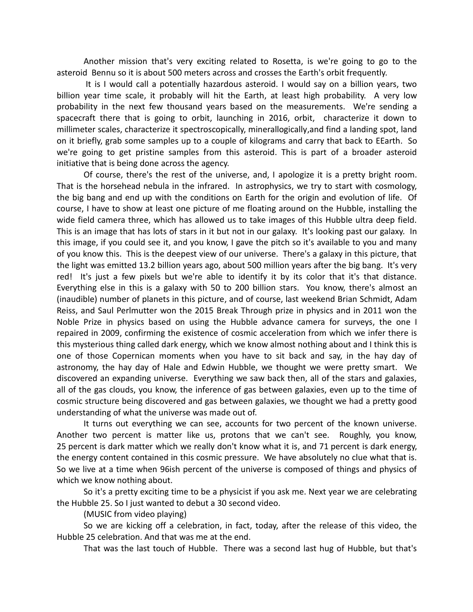Another mission that's very exciting related to Rosetta, is we're going to go to the asteroid Bennu so it is about 500 meters across and crosses the Earth's orbit frequently.

It is I would call a potentially hazardous asteroid. I would say on a billion years, two billion year time scale, it probably will hit the Earth, at least high probability. A very low probability in the next few thousand years based on the measurements. We're sending a spacecraft there that is going to orbit, launching in 2016, orbit, characterize it down to millimeter scales, characterize it spectroscopically, minerallogically,and find a landing spot, land on it briefly, grab some samples up to a couple of kilograms and carry that back to EEarth. So we're going to get pristine samples from this asteroid. This is part of a broader asteroid initiative that is being done across the agency.

Of course, there's the rest of the universe, and, I apologize it is a pretty bright room. That is the horsehead nebula in the infrared. In astrophysics, we try to start with cosmology, the big bang and end up with the conditions on Earth for the origin and evolution of life. Of course, I have to show at least one picture of me floating around on the Hubble, installing the wide field camera three, which has allowed us to take images of this Hubble ultra deep field. This is an image that has lots of stars in it but not in our galaxy. It's looking past our galaxy. In this image, if you could see it, and you know, I gave the pitch so it's available to you and many of you know this. This is the deepest view of our universe. There's a galaxy in this picture, that the light was emitted 13.2 billion years ago, about 500 million years after the big bang. It's very red! It's just a few pixels but we're able to identify it by its color that it's that distance. Everything else in this is a galaxy with 50 to 200 billion stars. You know, there's almost an (inaudible) number of planets in this picture, and of course, last weekend Brian Schmidt, Adam Reiss, and Saul Perlmutter won the 2015 Break Through prize in physics and in 2011 won the Noble Prize in physics based on using the Hubble advance camera for surveys, the one I repaired in 2009, confirming the existence of cosmic acceleration from which we infer there is this mysterious thing called dark energy, which we know almost nothing about and I think this is one of those Copernican moments when you have to sit back and say, in the hay day of astronomy, the hay day of Hale and Edwin Hubble, we thought we were pretty smart. We discovered an expanding universe. Everything we saw back then, all of the stars and galaxies, all of the gas clouds, you know, the inference of gas between galaxies, even up to the time of cosmic structure being discovered and gas between galaxies, we thought we had a pretty good understanding of what the universe was made out of.

It turns out everything we can see, accounts for two percent of the known universe. Another two percent is matter like us, protons that we can't see. Roughly, you know, 25 percent is dark matter which we really don't know what it is, and 71 percent is dark energy, the energy content contained in this cosmic pressure. We have absolutely no clue what that is. So we live at a time when 96ish percent of the universe is composed of things and physics of which we know nothing about.

So it's a pretty exciting time to be a physicist if you ask me. Next year we are celebrating the Hubble 25. So I just wanted to debut a 30 second video.

(MUSIC from video playing)

So we are kicking off a celebration, in fact, today, after the release of this video, the Hubble 25 celebration. And that was me at the end.

That was the last touch of Hubble. There was a second last hug of Hubble, but that's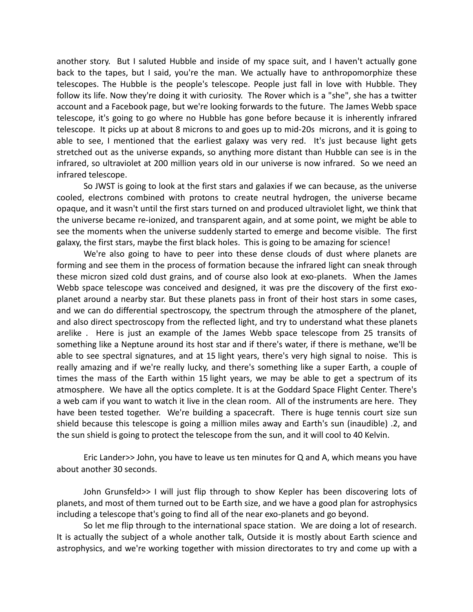another story. But I saluted Hubble and inside of my space suit, and I haven't actually gone back to the tapes, but I said, you're the man. We actually have to anthropomorphize these telescopes. The Hubble is the people's telescope. People just fall in love with Hubble. They follow its life. Now they're doing it with curiosity. The Rover which is a "she", she has a twitter account and a Facebook page, but we're looking forwards to the future. The James Webb space telescope, it's going to go where no Hubble has gone before because it is inherently infrared telescope. It picks up at about 8 microns to and goes up to mid-20s microns, and it is going to able to see, I mentioned that the earliest galaxy was very red. It's just because light gets stretched out as the universe expands, so anything more distant than Hubble can see is in the infrared, so ultraviolet at 200 million years old in our universe is now infrared. So we need an infrared telescope.

So JWST is going to look at the first stars and galaxies if we can because, as the universe cooled, electrons combined with protons to create neutral hydrogen, the universe became opaque, and it wasn't until the first stars turned on and produced ultraviolet light, we think that the universe became re-ionized, and transparent again, and at some point, we might be able to see the moments when the universe suddenly started to emerge and become visible. The first galaxy, the first stars, maybe the first black holes. This is going to be amazing for science!

We're also going to have to peer into these dense clouds of dust where planets are forming and see them in the process of formation because the infrared light can sneak through these micron sized cold dust grains, and of course also look at exo-planets. When the James Webb space telescope was conceived and designed, it was pre the discovery of the first exoplanet around a nearby star. But these planets pass in front of their host stars in some cases, and we can do differential spectroscopy, the spectrum through the atmosphere of the planet, and also direct spectroscopy from the reflected light, and try to understand what these planets arelike . Here is just an example of the James Webb space telescope from 25 transits of something like a Neptune around its host star and if there's water, if there is methane, we'll be able to see spectral signatures, and at 15 light years, there's very high signal to noise. This is really amazing and if we're really lucky, and there's something like a super Earth, a couple of times the mass of the Earth within 15 light years, we may be able to get a spectrum of its atmosphere. We have all the optics complete. It is at the Goddard Space Flight Center. There's a web cam if you want to watch it live in the clean room. All of the instruments are here. They have been tested together. We're building a spacecraft. There is huge tennis court size sun shield because this telescope is going a million miles away and Earth's sun (inaudible) .2, and the sun shield is going to protect the telescope from the sun, and it will cool to 40 Kelvin.

Eric Lander>> John, you have to leave us ten minutes for Q and A, which means you have about another 30 seconds.

John Grunsfeld>> I will just flip through to show Kepler has been discovering lots of planets, and most of them turned out to be Earth size, and we have a good plan for astrophysics including a telescope that's going to find all of the near exo-planets and go beyond.

So let me flip through to the international space station. We are doing a lot of research. It is actually the subject of a whole another talk, Outside it is mostly about Earth science and astrophysics, and we're working together with mission directorates to try and come up with a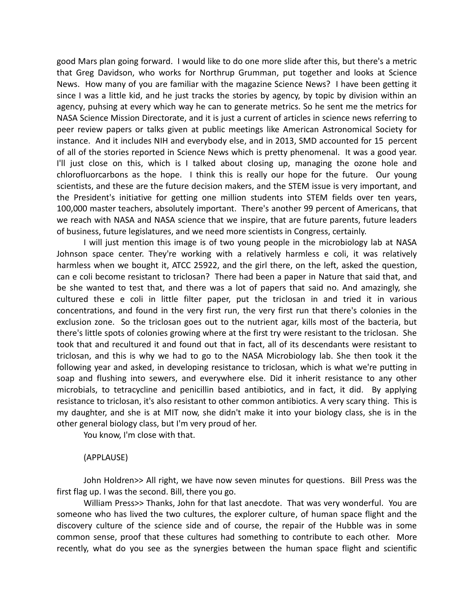good Mars plan going forward. I would like to do one more slide after this, but there's a metric that Greg Davidson, who works for Northrup Grumman, put together and looks at Science News. How many of you are familiar with the magazine Science News? I have been getting it since I was a little kid, and he just tracks the stories by agency, by topic by division within an agency, puhsing at every which way he can to generate metrics. So he sent me the metrics for NASA Science Mission Directorate, and it is just a current of articles in science news referring to peer review papers or talks given at public meetings like American Astronomical Society for instance. And it includes NIH and everybody else, and in 2013, SMD accounted for 15 percent of all of the stories reported in Science News which is pretty phenomenal. It was a good year. I'll just close on this, which is I talked about closing up, managing the ozone hole and chlorofluorcarbons as the hope. I think this is really our hope for the future. Our young scientists, and these are the future decision makers, and the STEM issue is very important, and the President's initiative for getting one million students into STEM fields over ten years, 100,000 master teachers, absolutely important. There's another 99 percent of Americans, that we reach with NASA and NASA science that we inspire, that are future parents, future leaders of business, future legislatures, and we need more scientists in Congress, certainly.

I will just mention this image is of two young people in the microbiology lab at NASA Johnson space center. They're working with a relatively harmless e coli, it was relatively harmless when we bought it, ATCC 25922, and the girl there, on the left, asked the question, can e coli become resistant to triclosan? There had been a paper in Nature that said that, and be she wanted to test that, and there was a lot of papers that said no. And amazingly, she cultured these e coli in little filter paper, put the triclosan in and tried it in various concentrations, and found in the very first run, the very first run that there's colonies in the exclusion zone. So the triclosan goes out to the nutrient agar, kills most of the bacteria, but there's little spots of colonies growing where at the first try were resistant to the triclosan. She took that and recultured it and found out that in fact, all of its descendants were resistant to triclosan, and this is why we had to go to the NASA Microbiology lab. She then took it the following year and asked, in developing resistance to triclosan, which is what we're putting in soap and flushing into sewers, and everywhere else. Did it inherit resistance to any other microbials, to tetracycline and penicillin based antibiotics, and in fact, it did. By applying resistance to triclosan, it's also resistant to other common antibiotics. A very scary thing. This is my daughter, and she is at MIT now, she didn't make it into your biology class, she is in the other general biology class, but I'm very proud of her.

You know, I'm close with that.

#### (APPLAUSE)

John Holdren>> All right, we have now seven minutes for questions. Bill Press was the first flag up. I was the second. Bill, there you go.

William Press>> Thanks, John for that last anecdote. That was very wonderful. You are someone who has lived the two cultures, the explorer culture, of human space flight and the discovery culture of the science side and of course, the repair of the Hubble was in some common sense, proof that these cultures had something to contribute to each other. More recently, what do you see as the synergies between the human space flight and scientific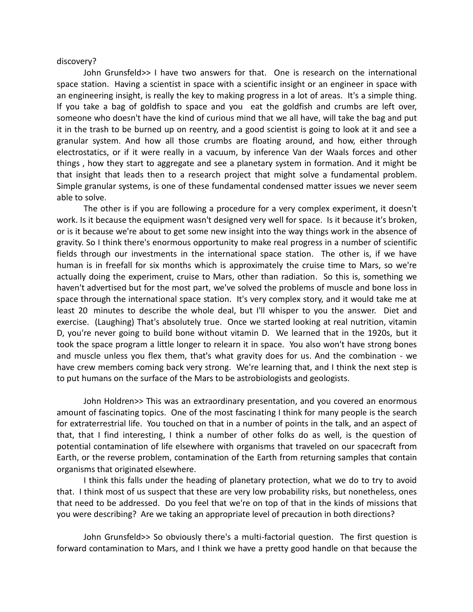#### discovery?

John Grunsfeld>> I have two answers for that. One is research on the international space station. Having a scientist in space with a scientific insight or an engineer in space with an engineering insight, is really the key to making progress in a lot of areas. It's a simple thing. If you take a bag of goldfish to space and you eat the goldfish and crumbs are left over, someone who doesn't have the kind of curious mind that we all have, will take the bag and put it in the trash to be burned up on reentry, and a good scientist is going to look at it and see a granular system. And how all those crumbs are floating around, and how, either through electrostatics, or if it were really in a vacuum, by inference Van der Waals forces and other things , how they start to aggregate and see a planetary system in formation. And it might be that insight that leads then to a research project that might solve a fundamental problem. Simple granular systems, is one of these fundamental condensed matter issues we never seem able to solve.

The other is if you are following a procedure for a very complex experiment, it doesn't work. Is it because the equipment wasn't designed very well for space. Is it because it's broken, or is it because we're about to get some new insight into the way things work in the absence of gravity. So I think there's enormous opportunity to make real progress in a number of scientific fields through our investments in the international space station. The other is, if we have human is in freefall for six months which is approximately the cruise time to Mars, so we're actually doing the experiment, cruise to Mars, other than radiation. So this is, something we haven't advertised but for the most part, we've solved the problems of muscle and bone loss in space through the international space station. It's very complex story, and it would take me at least 20 minutes to describe the whole deal, but I'll whisper to you the answer. Diet and exercise. (Laughing) That's absolutely true. Once we started looking at real nutrition, vitamin D, you're never going to build bone without vitamin D. We learned that in the 1920s, but it took the space program a little longer to relearn it in space. You also won't have strong bones and muscle unless you flex them, that's what gravity does for us. And the combination - we have crew members coming back very strong. We're learning that, and I think the next step is to put humans on the surface of the Mars to be astrobiologists and geologists.

John Holdren>> This was an extraordinary presentation, and you covered an enormous amount of fascinating topics. One of the most fascinating I think for many people is the search for extraterrestrial life. You touched on that in a number of points in the talk, and an aspect of that, that I find interesting, I think a number of other folks do as well, is the question of potential contamination of life elsewhere with organisms that traveled on our spacecraft from Earth, or the reverse problem, contamination of the Earth from returning samples that contain organisms that originated elsewhere.

I think this falls under the heading of planetary protection, what we do to try to avoid that. I think most of us suspect that these are very low probability risks, but nonetheless, ones that need to be addressed. Do you feel that we're on top of that in the kinds of missions that you were describing? Are we taking an appropriate level of precaution in both directions?

John Grunsfeld>> So obviously there's a multi-factorial question. The first question is forward contamination to Mars, and I think we have a pretty good handle on that because the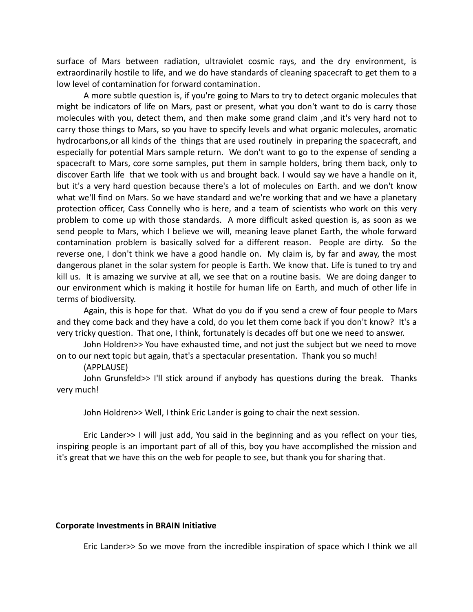surface of Mars between radiation, ultraviolet cosmic rays, and the dry environment, is extraordinarily hostile to life, and we do have standards of cleaning spacecraft to get them to a low level of contamination for forward contamination.

A more subtle question is, if you're going to Mars to try to detect organic molecules that might be indicators of life on Mars, past or present, what you don't want to do is carry those molecules with you, detect them, and then make some grand claim ,and it's very hard not to carry those things to Mars, so you have to specify levels and what organic molecules, aromatic hydrocarbons,or all kinds of the things that are used routinely in preparing the spacecraft, and especially for potential Mars sample return. We don't want to go to the expense of sending a spacecraft to Mars, core some samples, put them in sample holders, bring them back, only to discover Earth life that we took with us and brought back. I would say we have a handle on it, but it's a very hard question because there's a lot of molecules on Earth. and we don't know what we'll find on Mars. So we have standard and we're working that and we have a planetary protection officer, Cass Connelly who is here, and a team of scientists who work on this very problem to come up with those standards. A more difficult asked question is, as soon as we send people to Mars, which I believe we will, meaning leave planet Earth, the whole forward contamination problem is basically solved for a different reason. People are dirty. So the reverse one, I don't think we have a good handle on. My claim is, by far and away, the most dangerous planet in the solar system for people is Earth. We know that. Life is tuned to try and kill us. It is amazing we survive at all, we see that on a routine basis. We are doing danger to our environment which is making it hostile for human life on Earth, and much of other life in terms of biodiversity.

Again, this is hope for that. What do you do if you send a crew of four people to Mars and they come back and they have a cold, do you let them come back if you don't know? It's a very tricky question. That one, I think, fortunately is decades off but one we need to answer.

John Holdren>> You have exhausted time, and not just the subject but we need to move on to our next topic but again, that's a spectacular presentation. Thank you so much!

# (APPLAUSE)

John Grunsfeld>> I'll stick around if anybody has questions during the break. Thanks very much!

John Holdren>> Well, I think Eric Lander is going to chair the next session.

Eric Lander>> I will just add, You said in the beginning and as you reflect on your ties, inspiring people is an important part of all of this, boy you have accomplished the mission and it's great that we have this on the web for people to see, but thank you for sharing that.

# **Corporate Investments in BRAIN Initiative**

Eric Lander>> So we move from the incredible inspiration of space which I think we all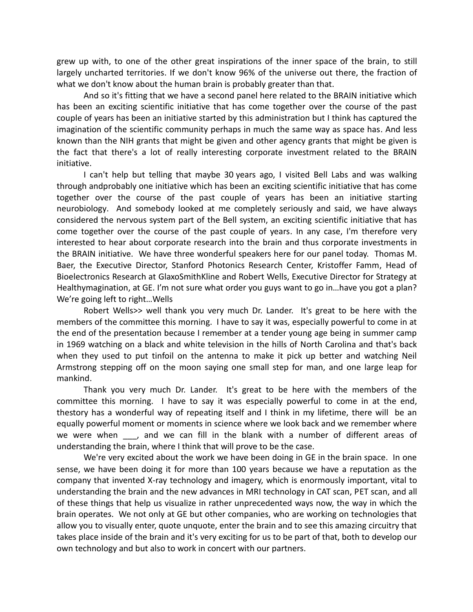grew up with, to one of the other great inspirations of the inner space of the brain, to still largely uncharted territories. If we don't know 96% of the universe out there, the fraction of what we don't know about the human brain is probably greater than that.

And so it's fitting that we have a second panel here related to the BRAIN initiative which has been an exciting scientific initiative that has come together over the course of the past couple of years has been an initiative started by this administration but I think has captured the imagination of the scientific community perhaps in much the same way as space has. And less known than the NIH grants that might be given and other agency grants that might be given is the fact that there's a lot of really interesting corporate investment related to the BRAIN initiative.

I can't help but telling that maybe 30 years ago, I visited Bell Labs and was walking through andprobably one initiative which has been an exciting scientific initiative that has come together over the course of the past couple of years has been an initiative starting neurobiology. And somebody looked at me completely seriously and said, we have always considered the nervous system part of the Bell system, an exciting scientific initiative that has come together over the course of the past couple of years. In any case, I'm therefore very interested to hear about corporate research into the brain and thus corporate investments in the BRAIN initiative. We have three wonderful speakers here for our panel today. Thomas M. Baer, the Executive Director, Stanford Photonics Research Center, Kristoffer Famm, Head of Bioelectronics Research at GlaxoSmithKline and Robert Wells, Executive Director for Strategy at Healthymagination, at GE. I'm not sure what order you guys want to go in…have you got a plan? We're going left to right…Wells

Robert Wells>> well thank you very much Dr. Lander. It's great to be here with the members of the committee this morning. I have to say it was, especially powerful to come in at the end of the presentation because I remember at a tender young age being in summer camp in 1969 watching on a black and white television in the hills of North Carolina and that's back when they used to put tinfoil on the antenna to make it pick up better and watching Neil Armstrong stepping off on the moon saying one small step for man, and one large leap for mankind.

Thank you very much Dr. Lander. It's great to be here with the members of the committee this morning. I have to say it was especially powerful to come in at the end, thestory has a wonderful way of repeating itself and I think in my lifetime, there will be an equally powerful moment or moments in science where we look back and we remember where we were when , and we can fill in the blank with a number of different areas of understanding the brain, where I think that will prove to be the case.

We're very excited about the work we have been doing in GE in the brain space. In one sense, we have been doing it for more than 100 years because we have a reputation as the company that invented X-ray technology and imagery, which is enormously important, vital to understanding the brain and the new advances in MRI technology in CAT scan, PET scan, and all of these things that help us visualize in rather unprecedented ways now, the way in which the brain operates. We not only at GE but other companies, who are working on technologies that allow you to visually enter, quote unquote, enter the brain and to see this amazing circuitry that takes place inside of the brain and it's very exciting for us to be part of that, both to develop our own technology and but also to work in concert with our partners.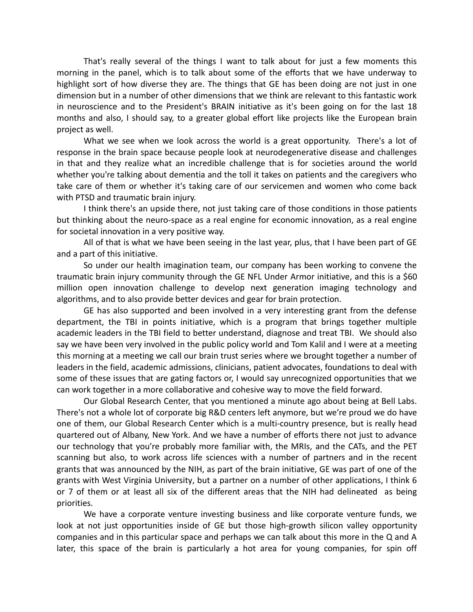That's really several of the things I want to talk about for just a few moments this morning in the panel, which is to talk about some of the efforts that we have underway to highlight sort of how diverse they are. The things that GE has been doing are not just in one dimension but in a number of other dimensions that we think are relevant to this fantastic work in neuroscience and to the President's BRAIN initiative as it's been going on for the last 18 months and also, I should say, to a greater global effort like projects like the European brain project as well.

What we see when we look across the world is a great opportunity. There's a lot of response in the brain space because people look at neurodegenerative disease and challenges in that and they realize what an incredible challenge that is for societies around the world whether you're talking about dementia and the toll it takes on patients and the caregivers who take care of them or whether it's taking care of our servicemen and women who come back with PTSD and traumatic brain injury.

I think there's an upside there, not just taking care of those conditions in those patients but thinking about the neuro-space as a real engine for economic innovation, as a real engine for societal innovation in a very positive way.

All of that is what we have been seeing in the last year, plus, that I have been part of GE and a part of this initiative.

So under our health imagination team, our company has been working to convene the traumatic brain injury community through the GE NFL Under Armor initiative, and this is a \$60 million open innovation challenge to develop next generation imaging technology and algorithms, and to also provide better devices and gear for brain protection.

GE has also supported and been involved in a very interesting grant from the defense department, the TBI in points initiative, which is a program that brings together multiple academic leaders in the TBI field to better understand, diagnose and treat TBI. We should also say we have been very involved in the public policy world and Tom Kalil and I were at a meeting this morning at a meeting we call our brain trust series where we brought together a number of leaders in the field, academic admissions, clinicians, patient advocates, foundations to deal with some of these issues that are gating factors or, I would say unrecognized opportunities that we can work together in a more collaborative and cohesive way to move the field forward.

Our Global Research Center, that you mentioned a minute ago about being at Bell Labs. There's not a whole lot of corporate big R&D centers left anymore, but we're proud we do have one of them, our Global Research Center which is a multi-country presence, but is really head quartered out of Albany, New York. And we have a number of efforts there not just to advance our technology that you're probably more familiar with, the MRIs, and the CATs, and the PET scanning but also, to work across life sciences with a number of partners and in the recent grants that was announced by the NIH, as part of the brain initiative, GE was part of one of the grants with West Virginia University, but a partner on a number of other applications, I think 6 or 7 of them or at least all six of the different areas that the NIH had delineated as being priorities.

We have a corporate venture investing business and like corporate venture funds, we look at not just opportunities inside of GE but those high-growth silicon valley opportunity companies and in this particular space and perhaps we can talk about this more in the Q and A later, this space of the brain is particularly a hot area for young companies, for spin off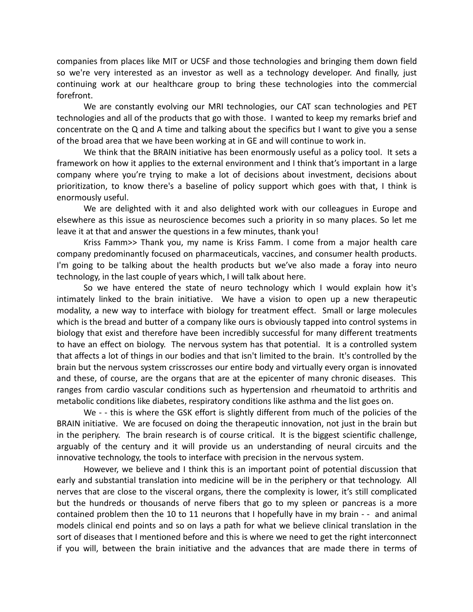companies from places like MIT or UCSF and those technologies and bringing them down field so we're very interested as an investor as well as a technology developer. And finally, just continuing work at our healthcare group to bring these technologies into the commercial forefront.

We are constantly evolving our MRI technologies, our CAT scan technologies and PET technologies and all of the products that go with those. I wanted to keep my remarks brief and concentrate on the Q and A time and talking about the specifics but I want to give you a sense of the broad area that we have been working at in GE and will continue to work in.

We think that the BRAIN initiative has been enormously useful as a policy tool. It sets a framework on how it applies to the external environment and I think that's important in a large company where you're trying to make a lot of decisions about investment, decisions about prioritization, to know there's a baseline of policy support which goes with that, I think is enormously useful.

We are delighted with it and also delighted work with our colleagues in Europe and elsewhere as this issue as neuroscience becomes such a priority in so many places. So let me leave it at that and answer the questions in a few minutes, thank you!

Kriss Famm>> Thank you, my name is Kriss Famm. I come from a major health care company predominantly focused on pharmaceuticals, vaccines, and consumer health products. I'm going to be talking about the health products but we've also made a foray into neuro technology, in the last couple of years which, I will talk about here.

So we have entered the state of neuro technology which I would explain how it's intimately linked to the brain initiative. We have a vision to open up a new therapeutic modality, a new way to interface with biology for treatment effect. Small or large molecules which is the bread and butter of a company like ours is obviously tapped into control systems in biology that exist and therefore have been incredibly successful for many different treatments to have an effect on biology. The nervous system has that potential. It is a controlled system that affects a lot of things in our bodies and that isn't limited to the brain. It's controlled by the brain but the nervous system crisscrosses our entire body and virtually every organ is innovated and these, of course, are the organs that are at the epicenter of many chronic diseases. This ranges from cardio vascular conditions such as hypertension and rheumatoid to arthritis and metabolic conditions like diabetes, respiratory conditions like asthma and the list goes on.

We - - this is where the GSK effort is slightly different from much of the policies of the BRAIN initiative. We are focused on doing the therapeutic innovation, not just in the brain but in the periphery. The brain research is of course critical. It is the biggest scientific challenge, arguably of the century and it will provide us an understanding of neural circuits and the innovative technology, the tools to interface with precision in the nervous system.

However, we believe and I think this is an important point of potential discussion that early and substantial translation into medicine will be in the periphery or that technology. All nerves that are close to the visceral organs, there the complexity is lower, it's still complicated but the hundreds or thousands of nerve fibers that go to my spleen or pancreas is a more contained problem then the 10 to 11 neurons that I hopefully have in my brain - - and animal models clinical end points and so on lays a path for what we believe clinical translation in the sort of diseases that I mentioned before and this is where we need to get the right interconnect if you will, between the brain initiative and the advances that are made there in terms of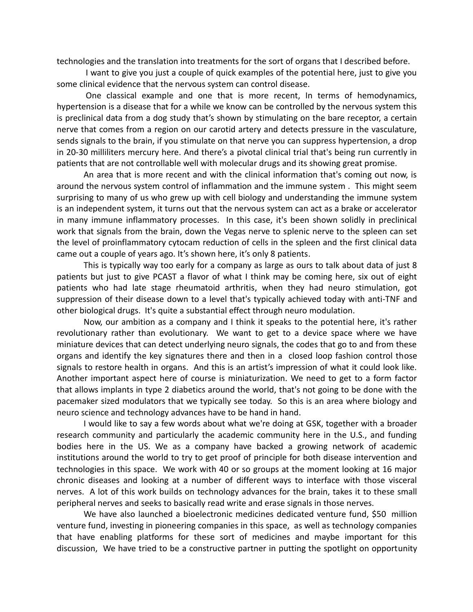technologies and the translation into treatments for the sort of organs that I described before.

I want to give you just a couple of quick examples of the potential here, just to give you some clinical evidence that the nervous system can control disease.

One classical example and one that is more recent, In terms of hemodynamics, hypertension is a disease that for a while we know can be controlled by the nervous system this is preclinical data from a dog study that's shown by stimulating on the bare receptor, a certain nerve that comes from a region on our carotid artery and detects pressure in the vasculature, sends signals to the brain, if you stimulate on that nerve you can suppress hypertension, a drop in 20-30 milliliters mercury here. And there's a pivotal clinical trial that's being run currently in patients that are not controllable well with molecular drugs and its showing great promise.

An area that is more recent and with the clinical information that's coming out now, is around the nervous system control of inflammation and the immune system . This might seem surprising to many of us who grew up with cell biology and understanding the immune system is an independent system, it turns out that the nervous system can act as a brake or accelerator in many immune inflammatory processes. In this case, it's been shown solidly in preclinical work that signals from the brain, down the Vegas nerve to splenic nerve to the spleen can set the level of proinflammatory cytocam reduction of cells in the spleen and the first clinical data came out a couple of years ago. It's shown here, it's only 8 patients.

This is typically way too early for a company as large as ours to talk about data of just 8 patients but just to give PCAST a flavor of what I think may be coming here, six out of eight patients who had late stage rheumatoid arthritis, when they had neuro stimulation, got suppression of their disease down to a level that's typically achieved today with anti-TNF and other biological drugs. It's quite a substantial effect through neuro modulation.

Now, our ambition as a company and I think it speaks to the potential here, it's rather revolutionary rather than evolutionary. We want to get to a device space where we have miniature devices that can detect underlying neuro signals, the codes that go to and from these organs and identify the key signatures there and then in a closed loop fashion control those signals to restore health in organs. And this is an artist's impression of what it could look like. Another important aspect here of course is miniaturization. We need to get to a form factor that allows implants in type 2 diabetics around the world, that's not going to be done with the pacemaker sized modulators that we typically see today. So this is an area where biology and neuro science and technology advances have to be hand in hand.

I would like to say a few words about what we're doing at GSK, together with a broader research community and particularly the academic community here in the U.S., and funding bodies here in the US. We as a company have backed a growing network of academic institutions around the world to try to get proof of principle for both disease intervention and technologies in this space. We work with 40 or so groups at the moment looking at 16 major chronic diseases and looking at a number of different ways to interface with those visceral nerves. A lot of this work builds on technology advances for the brain, takes it to these small peripheral nerves and seeks to basically read write and erase signals in those nerves.

We have also launched a bioelectronic medicines dedicated venture fund, \$50 million venture fund, investing in pioneering companies in this space, as well as technology companies that have enabling platforms for these sort of medicines and maybe important for this discussion, We have tried to be a constructive partner in putting the spotlight on opportunity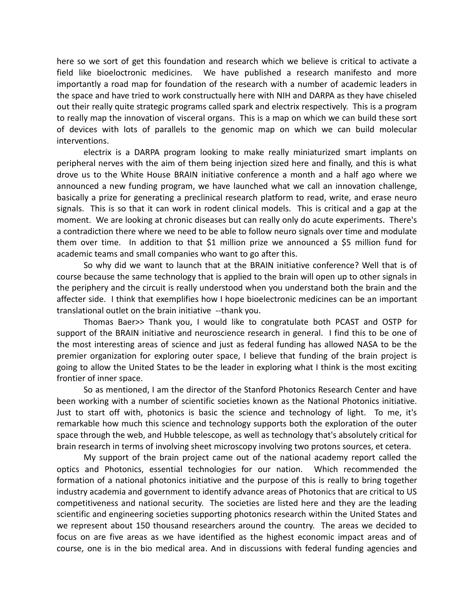here so we sort of get this foundation and research which we believe is critical to activate a field like bioeloctronic medicines. We have published a research manifesto and more importantly a road map for foundation of the research with a number of academic leaders in the space and have tried to work constructually here with NIH and DARPA as they have chiseled out their really quite strategic programs called spark and electrix respectively. This is a program to really map the innovation of visceral organs. This is a map on which we can build these sort of devices with lots of parallels to the genomic map on which we can build molecular interventions.

electrix is a DARPA program looking to make really miniaturized smart implants on peripheral nerves with the aim of them being injection sized here and finally, and this is what drove us to the White House BRAIN initiative conference a month and a half ago where we announced a new funding program, we have launched what we call an innovation challenge, basically a prize for generating a preclinical research platform to read, write, and erase neuro signals. This is so that it can work in rodent clinical models. This is critical and a gap at the moment. We are looking at chronic diseases but can really only do acute experiments. There's a contradiction there where we need to be able to follow neuro signals over time and modulate them over time. In addition to that \$1 million prize we announced a \$5 million fund for academic teams and small companies who want to go after this.

So why did we want to launch that at the BRAIN initiative conference? Well that is of course because the same technology that is applied to the brain will open up to other signals in the periphery and the circuit is really understood when you understand both the brain and the affecter side. I think that exemplifies how I hope bioelectronic medicines can be an important translational outlet on the brain initiative --thank you.

Thomas Baer>> Thank you, I would like to congratulate both PCAST and OSTP for support of the BRAIN initiative and neuroscience research in general. I find this to be one of the most interesting areas of science and just as federal funding has allowed NASA to be the premier organization for exploring outer space, I believe that funding of the brain project is going to allow the United States to be the leader in exploring what I think is the most exciting frontier of inner space.

So as mentioned, I am the director of the Stanford Photonics Research Center and have been working with a number of scientific societies known as the National Photonics initiative. Just to start off with, photonics is basic the science and technology of light. To me, it's remarkable how much this science and technology supports both the exploration of the outer space through the web, and Hubble telescope, as well as technology that's absolutely critical for brain research in terms of involving sheet microscopy involving two protons sources, et cetera.

My support of the brain project came out of the national academy report called the optics and Photonics, essential technologies for our nation. Which recommended the formation of a national photonics initiative and the purpose of this is really to bring together industry academia and government to identify advance areas of Photonics that are critical to US competitiveness and national security. The societies are listed here and they are the leading scientific and engineering societies supporting photonics research within the United States and we represent about 150 thousand researchers around the country. The areas we decided to focus on are five areas as we have identified as the highest economic impact areas and of course, one is in the bio medical area. And in discussions with federal funding agencies and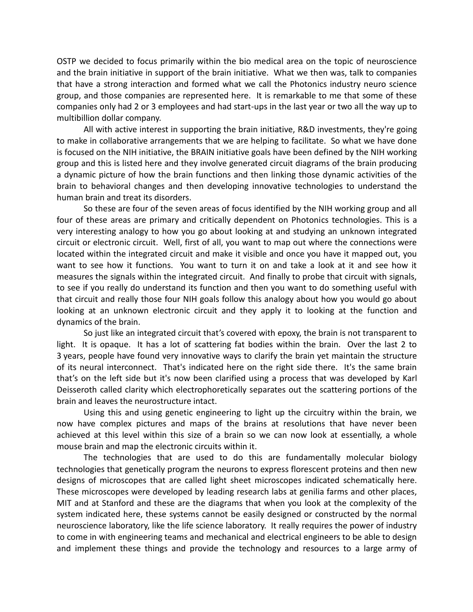OSTP we decided to focus primarily within the bio medical area on the topic of neuroscience and the brain initiative in support of the brain initiative. What we then was, talk to companies that have a strong interaction and formed what we call the Photonics industry neuro science group, and those companies are represented here. It is remarkable to me that some of these companies only had 2 or 3 employees and had start-ups in the last year or two all the way up to multibillion dollar company.

All with active interest in supporting the brain initiative, R&D investments, they're going to make in collaborative arrangements that we are helping to facilitate. So what we have done is focused on the NIH initiative, the BRAIN initiative goals have been defined by the NIH working group and this is listed here and they involve generated circuit diagrams of the brain producing a dynamic picture of how the brain functions and then linking those dynamic activities of the brain to behavioral changes and then developing innovative technologies to understand the human brain and treat its disorders.

So these are four of the seven areas of focus identified by the NIH working group and all four of these areas are primary and critically dependent on Photonics technologies. This is a very interesting analogy to how you go about looking at and studying an unknown integrated circuit or electronic circuit. Well, first of all, you want to map out where the connections were located within the integrated circuit and make it visible and once you have it mapped out, you want to see how it functions. You want to turn it on and take a look at it and see how it measures the signals within the integrated circuit. And finally to probe that circuit with signals, to see if you really do understand its function and then you want to do something useful with that circuit and really those four NIH goals follow this analogy about how you would go about looking at an unknown electronic circuit and they apply it to looking at the function and dynamics of the brain.

So just like an integrated circuit that's covered with epoxy, the brain is not transparent to light. It is opaque. It has a lot of scattering fat bodies within the brain. Over the last 2 to 3 years, people have found very innovative ways to clarify the brain yet maintain the structure of its neural interconnect. That's indicated here on the right side there. It's the same brain that's on the left side but it's now been clarified using a process that was developed by Karl Deisseroth called clarity which electrophoretically separates out the scattering portions of the brain and leaves the neurostructure intact.

Using this and using genetic engineering to light up the circuitry within the brain, we now have complex pictures and maps of the brains at resolutions that have never been achieved at this level within this size of a brain so we can now look at essentially, a whole mouse brain and map the electronic circuits within it.

The technologies that are used to do this are fundamentally molecular biology technologies that genetically program the neurons to express florescent proteins and then new designs of microscopes that are called light sheet microscopes indicated schematically here. These microscopes were developed by leading research labs at genilia farms and other places, MIT and at Stanford and these are the diagrams that when you look at the complexity of the system indicated here, these systems cannot be easily designed or constructed by the normal neuroscience laboratory, like the life science laboratory. It really requires the power of industry to come in with engineering teams and mechanical and electrical engineers to be able to design and implement these things and provide the technology and resources to a large army of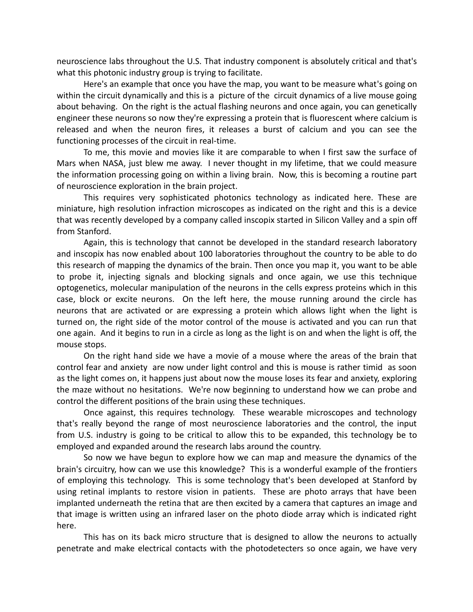neuroscience labs throughout the U.S. That industry component is absolutely critical and that's what this photonic industry group is trying to facilitate.

Here's an example that once you have the map, you want to be measure what's going on within the circuit dynamically and this is a picture of the circuit dynamics of a live mouse going about behaving. On the right is the actual flashing neurons and once again, you can genetically engineer these neurons so now they're expressing a protein that is fluorescent where calcium is released and when the neuron fires, it releases a burst of calcium and you can see the functioning processes of the circuit in real-time.

To me, this movie and movies like it are comparable to when I first saw the surface of Mars when NASA, just blew me away. I never thought in my lifetime, that we could measure the information processing going on within a living brain. Now, this is becoming a routine part of neuroscience exploration in the brain project.

This requires very sophisticated photonics technology as indicated here. These are miniature, high resolution infraction microscopes as indicated on the right and this is a device that was recently developed by a company called inscopix started in Silicon Valley and a spin off from Stanford.

Again, this is technology that cannot be developed in the standard research laboratory and inscopix has now enabled about 100 laboratories throughout the country to be able to do this research of mapping the dynamics of the brain. Then once you map it, you want to be able to probe it, injecting signals and blocking signals and once again, we use this technique optogenetics, molecular manipulation of the neurons in the cells express proteins which in this case, block or excite neurons. On the left here, the mouse running around the circle has neurons that are activated or are expressing a protein which allows light when the light is turned on, the right side of the motor control of the mouse is activated and you can run that one again. And it begins to run in a circle as long as the light is on and when the light is off, the mouse stops.

On the right hand side we have a movie of a mouse where the areas of the brain that control fear and anxiety are now under light control and this is mouse is rather timid as soon as the light comes on, it happens just about now the mouse loses its fear and anxiety, exploring the maze without no hesitations. We're now beginning to understand how we can probe and control the different positions of the brain using these techniques.

Once against, this requires technology. These wearable microscopes and technology that's really beyond the range of most neuroscience laboratories and the control, the input from U.S. industry is going to be critical to allow this to be expanded, this technology be to employed and expanded around the research labs around the country.

So now we have begun to explore how we can map and measure the dynamics of the brain's circuitry, how can we use this knowledge? This is a wonderful example of the frontiers of employing this technology. This is some technology that's been developed at Stanford by using retinal implants to restore vision in patients. These are photo arrays that have been implanted underneath the retina that are then excited by a camera that captures an image and that image is written using an infrared laser on the photo diode array which is indicated right here.

This has on its back micro structure that is designed to allow the neurons to actually penetrate and make electrical contacts with the photodetecters so once again, we have very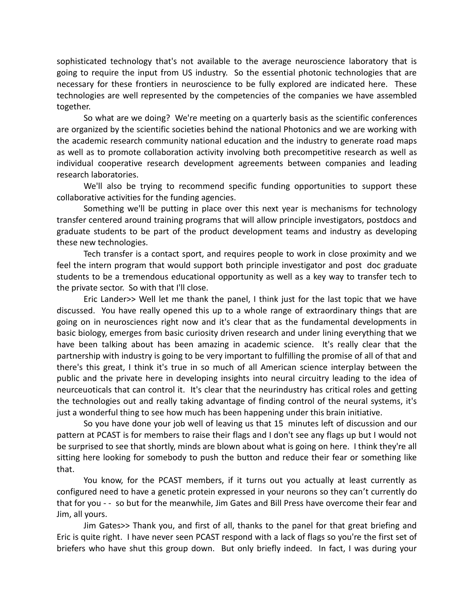sophisticated technology that's not available to the average neuroscience laboratory that is going to require the input from US industry. So the essential photonic technologies that are necessary for these frontiers in neuroscience to be fully explored are indicated here. These technologies are well represented by the competencies of the companies we have assembled together.

So what are we doing? We're meeting on a quarterly basis as the scientific conferences are organized by the scientific societies behind the national Photonics and we are working with the academic research community national education and the industry to generate road maps as well as to promote collaboration activity involving both precompetitive research as well as individual cooperative research development agreements between companies and leading research laboratories.

We'll also be trying to recommend specific funding opportunities to support these collaborative activities for the funding agencies.

Something we'll be putting in place over this next year is mechanisms for technology transfer centered around training programs that will allow principle investigators, postdocs and graduate students to be part of the product development teams and industry as developing these new technologies.

Tech transfer is a contact sport, and requires people to work in close proximity and we feel the intern program that would support both principle investigator and post doc graduate students to be a tremendous educational opportunity as well as a key way to transfer tech to the private sector. So with that I'll close.

Eric Lander>> Well let me thank the panel, I think just for the last topic that we have discussed. You have really opened this up to a whole range of extraordinary things that are going on in neurosciences right now and it's clear that as the fundamental developments in basic biology, emerges from basic curiosity driven research and under lining everything that we have been talking about has been amazing in academic science. It's really clear that the partnership with industry is going to be very important to fulfilling the promise of all of that and there's this great, I think it's true in so much of all American science interplay between the public and the private here in developing insights into neural circuitry leading to the idea of neurceuoticals that can control it. It's clear that the neurindustry has critical roles and getting the technologies out and really taking advantage of finding control of the neural systems, it's just a wonderful thing to see how much has been happening under this brain initiative.

So you have done your job well of leaving us that 15 minutes left of discussion and our pattern at PCAST is for members to raise their flags and I don't see any flags up but I would not be surprised to see that shortly, minds are blown about what is going on here. I think they're all sitting here looking for somebody to push the button and reduce their fear or something like that.

You know, for the PCAST members, if it turns out you actually at least currently as configured need to have a genetic protein expressed in your neurons so they can't currently do that for you - - so but for the meanwhile, Jim Gates and Bill Press have overcome their fear and Jim, all yours.

Jim Gates>> Thank you, and first of all, thanks to the panel for that great briefing and Eric is quite right. I have never seen PCAST respond with a lack of flags so you're the first set of briefers who have shut this group down. But only briefly indeed. In fact, I was during your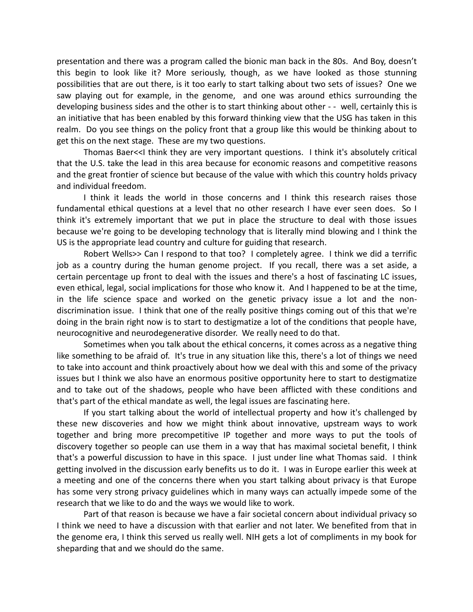presentation and there was a program called the bionic man back in the 80s. And Boy, doesn't this begin to look like it? More seriously, though, as we have looked as those stunning possibilities that are out there, is it too early to start talking about two sets of issues? One we saw playing out for example, in the genome, and one was around ethics surrounding the developing business sides and the other is to start thinking about other - - well, certainly this is an initiative that has been enabled by this forward thinking view that the USG has taken in this realm. Do you see things on the policy front that a group like this would be thinking about to get this on the next stage. These are my two questions.

Thomas Baer<<I think they are very important questions. I think it's absolutely critical that the U.S. take the lead in this area because for economic reasons and competitive reasons and the great frontier of science but because of the value with which this country holds privacy and individual freedom.

I think it leads the world in those concerns and I think this research raises those fundamental ethical questions at a level that no other research I have ever seen does. So I think it's extremely important that we put in place the structure to deal with those issues because we're going to be developing technology that is literally mind blowing and I think the US is the appropriate lead country and culture for guiding that research.

Robert Wells>> Can I respond to that too? I completely agree. I think we did a terrific job as a country during the human genome project. If you recall, there was a set aside, a certain percentage up front to deal with the issues and there's a host of fascinating LC issues, even ethical, legal, social implications for those who know it. And I happened to be at the time, in the life science space and worked on the genetic privacy issue a lot and the nondiscrimination issue. I think that one of the really positive things coming out of this that we're doing in the brain right now is to start to destigmatize a lot of the conditions that people have, neurocognitive and neurodegenerative disorder. We really need to do that.

Sometimes when you talk about the ethical concerns, it comes across as a negative thing like something to be afraid of. It's true in any situation like this, there's a lot of things we need to take into account and think proactively about how we deal with this and some of the privacy issues but I think we also have an enormous positive opportunity here to start to destigmatize and to take out of the shadows, people who have been afflicted with these conditions and that's part of the ethical mandate as well, the legal issues are fascinating here.

If you start talking about the world of intellectual property and how it's challenged by these new discoveries and how we might think about innovative, upstream ways to work together and bring more precompetitive IP together and more ways to put the tools of discovery together so people can use them in a way that has maximal societal benefit, I think that's a powerful discussion to have in this space. I just under line what Thomas said. I think getting involved in the discussion early benefits us to do it. I was in Europe earlier this week at a meeting and one of the concerns there when you start talking about privacy is that Europe has some very strong privacy guidelines which in many ways can actually impede some of the research that we like to do and the ways we would like to work.

Part of that reason is because we have a fair societal concern about individual privacy so I think we need to have a discussion with that earlier and not later. We benefited from that in the genome era, I think this served us really well. NIH gets a lot of compliments in my book for sheparding that and we should do the same.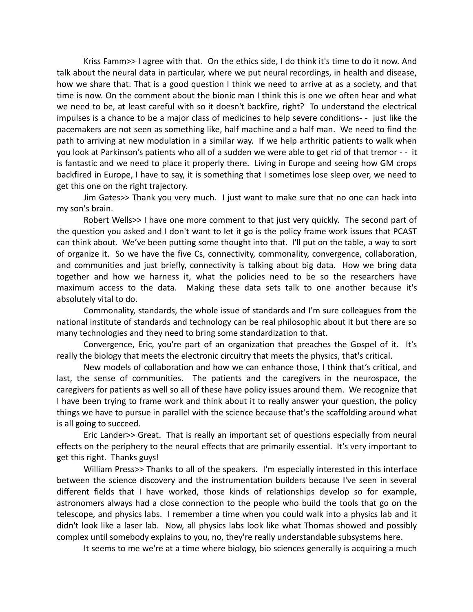Kriss Famm>> I agree with that. On the ethics side, I do think it's time to do it now. And talk about the neural data in particular, where we put neural recordings, in health and disease, how we share that. That is a good question I think we need to arrive at as a society, and that time is now. On the comment about the bionic man I think this is one we often hear and what we need to be, at least careful with so it doesn't backfire, right? To understand the electrical impulses is a chance to be a major class of medicines to help severe conditions- - just like the pacemakers are not seen as something like, half machine and a half man. We need to find the path to arriving at new modulation in a similar way. If we help arthritic patients to walk when you look at Parkinson's patients who all of a sudden we were able to get rid of that tremor - - it is fantastic and we need to place it properly there. Living in Europe and seeing how GM crops backfired in Europe, I have to say, it is something that I sometimes lose sleep over, we need to get this one on the right trajectory.

Jim Gates>> Thank you very much. I just want to make sure that no one can hack into my son's brain.

Robert Wells>> I have one more comment to that just very quickly. The second part of the question you asked and I don't want to let it go is the policy frame work issues that PCAST can think about. We've been putting some thought into that. I'll put on the table, a way to sort of organize it. So we have the five Cs, connectivity, commonality, convergence, collaboration, and communities and just briefly, connectivity is talking about big data. How we bring data together and how we harness it, what the policies need to be so the researchers have maximum access to the data. Making these data sets talk to one another because it's absolutely vital to do.

Commonality, standards, the whole issue of standards and I'm sure colleagues from the national institute of standards and technology can be real philosophic about it but there are so many technologies and they need to bring some standardization to that.

Convergence, Eric, you're part of an organization that preaches the Gospel of it. It's really the biology that meets the electronic circuitry that meets the physics, that's critical.

New models of collaboration and how we can enhance those, I think that's critical, and last, the sense of communities. The patients and the caregivers in the neurospace, the caregivers for patients as well so all of these have policy issues around them. We recognize that I have been trying to frame work and think about it to really answer your question, the policy things we have to pursue in parallel with the science because that's the scaffolding around what is all going to succeed.

Eric Lander>> Great. That is really an important set of questions especially from neural effects on the periphery to the neural effects that are primarily essential. It's very important to get this right. Thanks guys!

William Press>> Thanks to all of the speakers. I'm especially interested in this interface between the science discovery and the instrumentation builders because I've seen in several different fields that I have worked, those kinds of relationships develop so for example, astronomers always had a close connection to the people who build the tools that go on the telescope, and physics labs. I remember a time when you could walk into a physics lab and it didn't look like a laser lab. Now, all physics labs look like what Thomas showed and possibly complex until somebody explains to you, no, they're really understandable subsystems here.

It seems to me we're at a time where biology, bio sciences generally is acquiring a much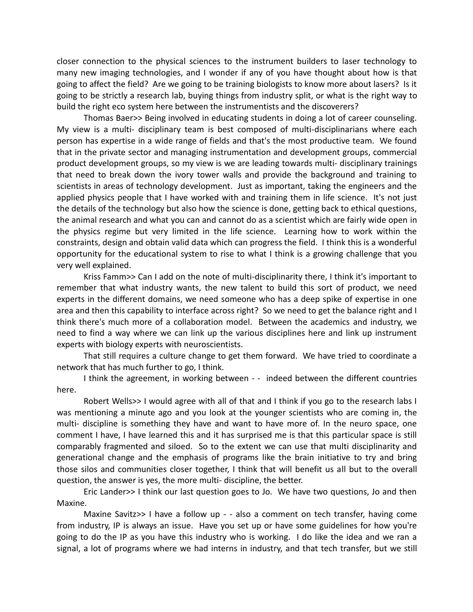closer connection to the physical sciences to the instrument builders to laser technology to many new imaging technologies, and I wonder if any of you have thought about how is that going to affect the field? Are we going to be training biologists to know more about lasers? Is it going to be strictly a research lab, buying things from industry split, or what is the right way to build the right eco system here between the instrumentists and the discoverers?

Thomas Baer>> Being involved in educating students in doing a lot of career counseling. My view is a multi- disciplinary team is best composed of multi-disciplinarians where each person has expertise in a wide range of fields and that's the most productive team. We found that in the private sector and managing instrumentation and development groups, commercial product development groups, so my view is we are leading towards multi- disciplinary trainings that need to break down the ivory tower walls and provide the background and training to scientists in areas of technology development. Just as important, taking the engineers and the applied physics people that I have worked with and training them in life science. It's not just the details of the technology but also how the science is done, getting back to ethical questions, the animal research and what you can and cannot do as a scientist which are fairly wide open in the physics regime but very limited in the life science. Learning how to work within the constraints, design and obtain valid data which can progress the field. I think this is a wonderful opportunity for the educational system to rise to what I think is a growing challenge that you very well explained.

Kriss Famm>> Can I add on the note of multi-disciplinarity there, I think it's important to remember that what industry wants, the new talent to build this sort of product, we need experts in the different domains, we need someone who has a deep spike of expertise in one area and then this capability to interface across right? So we need to get the balance right and I think there's much more of a collaboration model. Between the academics and industry, we need to find a way where we can link up the various disciplines here and link up instrument experts with biology experts with neuroscientists.

That still requires a culture change to get them forward. We have tried to coordinate a network that has much further to go, I think.

I think the agreement, in working between - - indeed between the different countries here.

Robert Wells>> I would agree with all of that and I think if you go to the research labs I was mentioning a minute ago and you look at the younger scientists who are coming in, the multi- discipline is something they have and want to have more of. In the neuro space, one comment I have, I have learned this and it has surprised me is that this particular space is still comparably fragmented and siloed. So to the extent we can use that multi disciplinarity and generational change and the emphasis of programs like the brain initiative to try and bring those silos and communities closer together, I think that will benefit us all but to the overall question, the answer is yes, the more multi- discipline, the better.

Eric Lander>> I think our last question goes to Jo. We have two questions, Jo and then Maxine.

Maxine Savitz>> I have a follow up - - also a comment on tech transfer, having come from industry, IP is always an issue. Have you set up or have some guidelines for how you're going to do the IP as you have this industry who is working. I do like the idea and we ran a signal, a lot of programs where we had interns in industry, and that tech transfer, but we still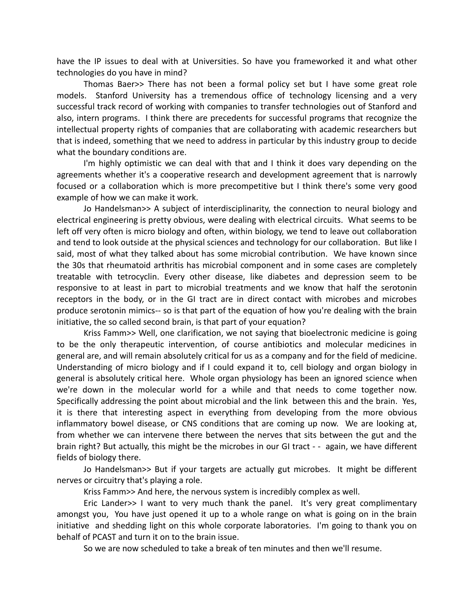have the IP issues to deal with at Universities. So have you frameworked it and what other technologies do you have in mind?

Thomas Baer>> There has not been a formal policy set but I have some great role models. Stanford University has a tremendous office of technology licensing and a very successful track record of working with companies to transfer technologies out of Stanford and also, intern programs. I think there are precedents for successful programs that recognize the intellectual property rights of companies that are collaborating with academic researchers but that is indeed, something that we need to address in particular by this industry group to decide what the boundary conditions are.

I'm highly optimistic we can deal with that and I think it does vary depending on the agreements whether it's a cooperative research and development agreement that is narrowly focused or a collaboration which is more precompetitive but I think there's some very good example of how we can make it work.

Jo Handelsman>> A subject of interdisciplinarity, the connection to neural biology and electrical engineering is pretty obvious, were dealing with electrical circuits. What seems to be left off very often is micro biology and often, within biology, we tend to leave out collaboration and tend to look outside at the physical sciences and technology for our collaboration. But like I said, most of what they talked about has some microbial contribution. We have known since the 30s that rheumatoid arthritis has microbial component and in some cases are completely treatable with tetrocyclin. Every other disease, like diabetes and depression seem to be responsive to at least in part to microbial treatments and we know that half the serotonin receptors in the body, or in the GI tract are in direct contact with microbes and microbes produce serotonin mimics-- so is that part of the equation of how you're dealing with the brain initiative, the so called second brain, is that part of your equation?

Kriss Famm>> Well, one clarification, we not saying that bioelectronic medicine is going to be the only therapeutic intervention, of course antibiotics and molecular medicines in general are, and will remain absolutely critical for us as a company and for the field of medicine. Understanding of micro biology and if I could expand it to, cell biology and organ biology in general is absolutely critical here. Whole organ physiology has been an ignored science when we're down in the molecular world for a while and that needs to come together now. Specifically addressing the point about microbial and the link between this and the brain. Yes, it is there that interesting aspect in everything from developing from the more obvious inflammatory bowel disease, or CNS conditions that are coming up now. We are looking at, from whether we can intervene there between the nerves that sits between the gut and the brain right? But actually, this might be the microbes in our GI tract - - again, we have different fields of biology there.

Jo Handelsman>> But if your targets are actually gut microbes. It might be different nerves or circuitry that's playing a role.

Kriss Famm>> And here, the nervous system is incredibly complex as well.

Eric Lander>> I want to very much thank the panel. It's very great complimentary amongst you, You have just opened it up to a whole range on what is going on in the brain initiative and shedding light on this whole corporate laboratories. I'm going to thank you on behalf of PCAST and turn it on to the brain issue.

So we are now scheduled to take a break of ten minutes and then we'll resume.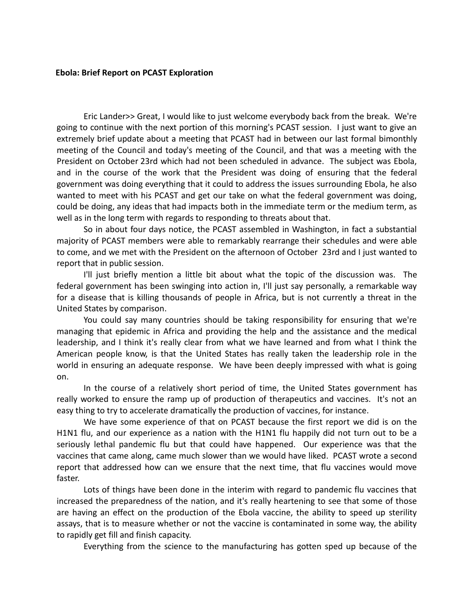#### **Ebola: Brief Report on PCAST Exploration**

Eric Lander>> Great, I would like to just welcome everybody back from the break. We're going to continue with the next portion of this morning's PCAST session. I just want to give an extremely brief update about a meeting that PCAST had in between our last formal bimonthly meeting of the Council and today's meeting of the Council, and that was a meeting with the President on October 23rd which had not been scheduled in advance. The subject was Ebola, and in the course of the work that the President was doing of ensuring that the federal government was doing everything that it could to address the issues surrounding Ebola, he also wanted to meet with his PCAST and get our take on what the federal government was doing, could be doing, any ideas that had impacts both in the immediate term or the medium term, as well as in the long term with regards to responding to threats about that.

So in about four days notice, the PCAST assembled in Washington, in fact a substantial majority of PCAST members were able to remarkably rearrange their schedules and were able to come, and we met with the President on the afternoon of October 23rd and I just wanted to report that in public session.

I'll just briefly mention a little bit about what the topic of the discussion was. The federal government has been swinging into action in, I'll just say personally, a remarkable way for a disease that is killing thousands of people in Africa, but is not currently a threat in the United States by comparison.

You could say many countries should be taking responsibility for ensuring that we're managing that epidemic in Africa and providing the help and the assistance and the medical leadership, and I think it's really clear from what we have learned and from what I think the American people know, is that the United States has really taken the leadership role in the world in ensuring an adequate response. We have been deeply impressed with what is going on.

In the course of a relatively short period of time, the United States government has really worked to ensure the ramp up of production of therapeutics and vaccines. It's not an easy thing to try to accelerate dramatically the production of vaccines, for instance.

We have some experience of that on PCAST because the first report we did is on the H1N1 flu, and our experience as a nation with the H1N1 flu happily did not turn out to be a seriously lethal pandemic flu but that could have happened. Our experience was that the vaccines that came along, came much slower than we would have liked. PCAST wrote a second report that addressed how can we ensure that the next time, that flu vaccines would move faster.

Lots of things have been done in the interim with regard to pandemic flu vaccines that increased the preparedness of the nation, and it's really heartening to see that some of those are having an effect on the production of the Ebola vaccine, the ability to speed up sterility assays, that is to measure whether or not the vaccine is contaminated in some way, the ability to rapidly get fill and finish capacity.

Everything from the science to the manufacturing has gotten sped up because of the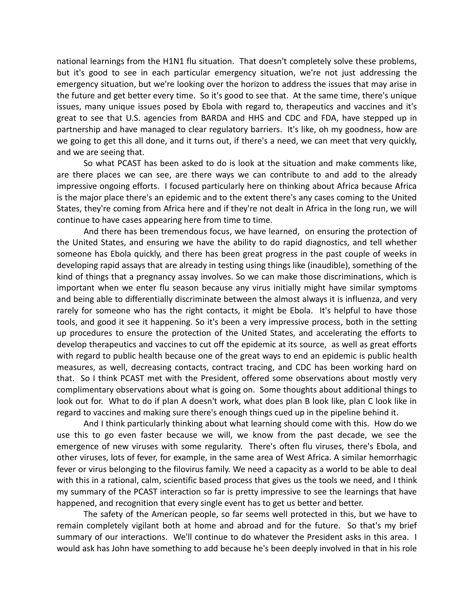national learnings from the H1N1 flu situation. That doesn't completely solve these problems, but it's good to see in each particular emergency situation, we're not just addressing the emergency situation, but we're looking over the horizon to address the issues that may arise in the future and get better every time. So it's good to see that. At the same time, there's unique issues, many unique issues posed by Ebola with regard to, therapeutics and vaccines and it's great to see that U.S. agencies from BARDA and HHS and CDC and FDA, have stepped up in partnership and have managed to clear regulatory barriers. It's like, oh my goodness, how are we going to get this all done, and it turns out, if there's a need, we can meet that very quickly, and we are seeing that.

So what PCAST has been asked to do is look at the situation and make comments like, are there places we can see, are there ways we can contribute to and add to the already impressive ongoing efforts. I focused particularly here on thinking about Africa because Africa is the major place there's an epidemic and to the extent there's any cases coming to the United States, they're coming from Africa here and if they're not dealt in Africa in the long run, we will continue to have cases appearing here from time to time.

And there has been tremendous focus, we have learned, on ensuring the protection of the United States, and ensuring we have the ability to do rapid diagnostics, and tell whether someone has Ebola quickly, and there has been great progress in the past couple of weeks in developing rapid assays that are already in testing using things like (inaudible), something of the kind of things that a pregnancy assay involves. So we can make those discriminations, which is important when we enter flu season because any virus initially might have similar symptoms and being able to differentially discriminate between the almost always it is influenza, and very rarely for someone who has the right contacts, it might be Ebola. It's helpful to have those tools, and good it see it happening. So it's been a very impressive process, both in the setting up procedures to ensure the protection of the United States, and accelerating the efforts to develop therapeutics and vaccines to cut off the epidemic at its source, as well as great efforts with regard to public health because one of the great ways to end an epidemic is public health measures, as well, decreasing contacts, contract tracing, and CDC has been working hard on that. So I think PCAST met with the President, offered some observations about mostly very complimentary observations about what is going on. Some thoughts about additional things to look out for. What to do if plan A doesn't work, what does plan B look like, plan C look like in regard to vaccines and making sure there's enough things cued up in the pipeline behind it.

And I think particularly thinking about what learning should come with this. How do we use this to go even faster because we will, we know from the past decade, we see the emergence of new viruses with some regularity. There's often flu viruses, there's Ebola, and other viruses, lots of fever, for example, in the same area of West Africa. A similar hemorrhagic fever or virus belonging to the filovirus family. We need a capacity as a world to be able to deal with this in a rational, calm, scientific based process that gives us the tools we need, and I think my summary of the PCAST interaction so far is pretty impressive to see the learnings that have happened, and recognition that every single event has to get us better and better.

The safety of the American people, so far seems well protected in this, but we have to remain completely vigilant both at home and abroad and for the future. So that's my brief summary of our interactions. We'll continue to do whatever the President asks in this area. I would ask has John have something to add because he's been deeply involved in that in his role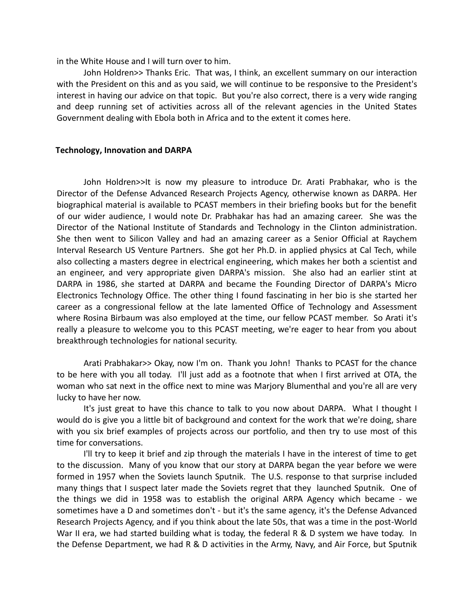in the White House and I will turn over to him.

John Holdren>> Thanks Eric. That was, I think, an excellent summary on our interaction with the President on this and as you said, we will continue to be responsive to the President's interest in having our advice on that topic. But you're also correct, there is a very wide ranging and deep running set of activities across all of the relevant agencies in the United States Government dealing with Ebola both in Africa and to the extent it comes here.

#### **Technology, Innovation and DARPA**

John Holdren>>It is now my pleasure to introduce Dr. Arati Prabhakar, who is the Director of the Defense Advanced Research Projects Agency, otherwise known as DARPA. Her biographical material is available to PCAST members in their briefing books but for the benefit of our wider audience, I would note Dr. Prabhakar has had an amazing career. She was the Director of the National Institute of Standards and Technology in the Clinton administration. She then went to Silicon Valley and had an amazing career as a Senior Official at Raychem Interval Research US Venture Partners. She got her Ph.D. in applied physics at Cal Tech, while also collecting a masters degree in electrical engineering, which makes her both a scientist and an engineer, and very appropriate given DARPA's mission. She also had an earlier stint at DARPA in 1986, she started at DARPA and became the Founding Director of DARPA's Micro Electronics Technology Office. The other thing I found fascinating in her bio is she started her career as a congressional fellow at the late lamented Office of Technology and Assessment where Rosina Birbaum was also employed at the time, our fellow PCAST member. So Arati it's really a pleasure to welcome you to this PCAST meeting, we're eager to hear from you about breakthrough technologies for national security.

Arati Prabhakar>> Okay, now I'm on. Thank you John! Thanks to PCAST for the chance to be here with you all today. I'll just add as a footnote that when I first arrived at OTA, the woman who sat next in the office next to mine was Marjory Blumenthal and you're all are very lucky to have her now.

It's just great to have this chance to talk to you now about DARPA. What I thought I would do is give you a little bit of background and context for the work that we're doing, share with you six brief examples of projects across our portfolio, and then try to use most of this time for conversations.

I'll try to keep it brief and zip through the materials I have in the interest of time to get to the discussion. Many of you know that our story at DARPA began the year before we were formed in 1957 when the Soviets launch Sputnik. The U.S. response to that surprise included many things that I suspect later made the Soviets regret that they launched Sputnik. One of the things we did in 1958 was to establish the original ARPA Agency which became - we sometimes have a D and sometimes don't - but it's the same agency, it's the Defense Advanced Research Projects Agency, and if you think about the late 50s, that was a time in the post-World War II era, we had started building what is today, the federal R & D system we have today. In the Defense Department, we had R & D activities in the Army, Navy, and Air Force, but Sputnik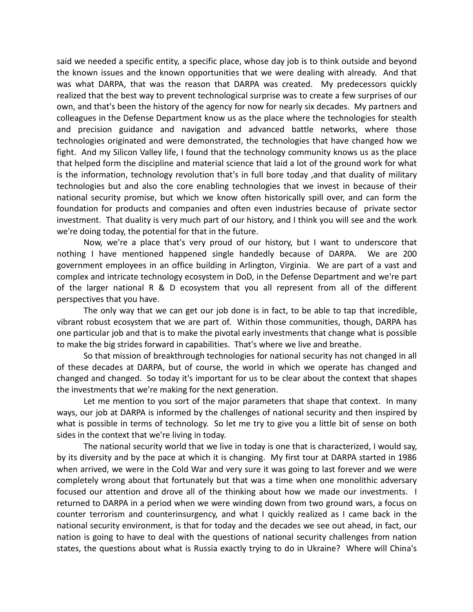said we needed a specific entity, a specific place, whose day job is to think outside and beyond the known issues and the known opportunities that we were dealing with already. And that was what DARPA, that was the reason that DARPA was created. My predecessors quickly realized that the best way to prevent technological surprise was to create a few surprises of our own, and that's been the history of the agency for now for nearly six decades. My partners and colleagues in the Defense Department know us as the place where the technologies for stealth and precision guidance and navigation and advanced battle networks, where those technologies originated and were demonstrated, the technologies that have changed how we fight. And my Silicon Valley life, I found that the technology community knows us as the place that helped form the discipline and material science that laid a lot of the ground work for what is the information, technology revolution that's in full bore today ,and that duality of military technologies but and also the core enabling technologies that we invest in because of their national security promise, but which we know often historically spill over, and can form the foundation for products and companies and often even industries because of private sector investment. That duality is very much part of our history, and I think you will see and the work we're doing today, the potential for that in the future.

Now, we're a place that's very proud of our history, but I want to underscore that nothing I have mentioned happened single handedly because of DARPA. We are 200 government employees in an office building in Arlington, Virginia. We are part of a vast and complex and intricate technology ecosystem in DoD, in the Defense Department and we're part of the larger national R & D ecosystem that you all represent from all of the different perspectives that you have.

The only way that we can get our job done is in fact, to be able to tap that incredible, vibrant robust ecosystem that we are part of. Within those communities, though, DARPA has one particular job and that is to make the pivotal early investments that change what is possible to make the big strides forward in capabilities. That's where we live and breathe.

So that mission of breakthrough technologies for national security has not changed in all of these decades at DARPA, but of course, the world in which we operate has changed and changed and changed. So today it's important for us to be clear about the context that shapes the investments that we're making for the next generation.

Let me mention to you sort of the major parameters that shape that context. In many ways, our job at DARPA is informed by the challenges of national security and then inspired by what is possible in terms of technology. So let me try to give you a little bit of sense on both sides in the context that we're living in today.

The national security world that we live in today is one that is characterized, I would say, by its diversity and by the pace at which it is changing. My first tour at DARPA started in 1986 when arrived, we were in the Cold War and very sure it was going to last forever and we were completely wrong about that fortunately but that was a time when one monolithic adversary focused our attention and drove all of the thinking about how we made our investments. I returned to DARPA in a period when we were winding down from two ground wars, a focus on counter terrorism and counterinsurgency, and what I quickly realized as I came back in the national security environment, is that for today and the decades we see out ahead, in fact, our nation is going to have to deal with the questions of national security challenges from nation states, the questions about what is Russia exactly trying to do in Ukraine? Where will China's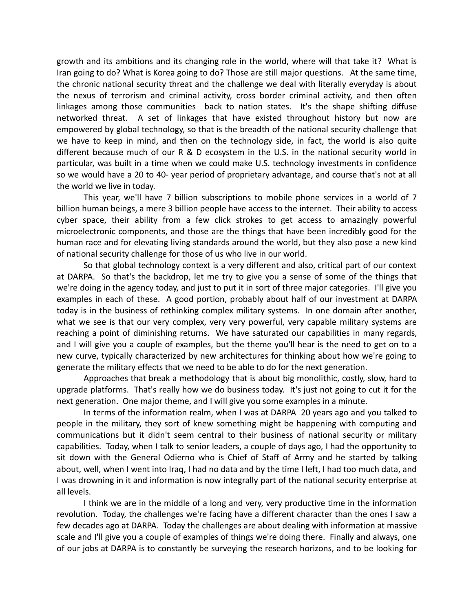growth and its ambitions and its changing role in the world, where will that take it? What is Iran going to do? What is Korea going to do? Those are still major questions. At the same time, the chronic national security threat and the challenge we deal with literally everyday is about the nexus of terrorism and criminal activity, cross border criminal activity, and then often linkages among those communities back to nation states. It's the shape shifting diffuse networked threat. A set of linkages that have existed throughout history but now are empowered by global technology, so that is the breadth of the national security challenge that we have to keep in mind, and then on the technology side, in fact, the world is also quite different because much of our R & D ecosystem in the U.S. in the national security world in particular, was built in a time when we could make U.S. technology investments in confidence so we would have a 20 to 40- year period of proprietary advantage, and course that's not at all the world we live in today.

This year, we'll have 7 billion subscriptions to mobile phone services in a world of 7 billion human beings, a mere 3 billion people have access to the internet. Their ability to access cyber space, their ability from a few click strokes to get access to amazingly powerful microelectronic components, and those are the things that have been incredibly good for the human race and for elevating living standards around the world, but they also pose a new kind of national security challenge for those of us who live in our world.

So that global technology context is a very different and also, critical part of our context at DARPA. So that's the backdrop, let me try to give you a sense of some of the things that we're doing in the agency today, and just to put it in sort of three major categories. I'll give you examples in each of these. A good portion, probably about half of our investment at DARPA today is in the business of rethinking complex military systems. In one domain after another, what we see is that our very complex, very very powerful, very capable military systems are reaching a point of diminishing returns. We have saturated our capabilities in many regards, and I will give you a couple of examples, but the theme you'll hear is the need to get on to a new curve, typically characterized by new architectures for thinking about how we're going to generate the military effects that we need to be able to do for the next generation.

Approaches that break a methodology that is about big monolithic, costly, slow, hard to upgrade platforms. That's really how we do business today. It's just not going to cut it for the next generation. One major theme, and I will give you some examples in a minute.

In terms of the information realm, when I was at DARPA 20 years ago and you talked to people in the military, they sort of knew something might be happening with computing and communications but it didn't seem central to their business of national security or military capabilities. Today, when I talk to senior leaders, a couple of days ago, I had the opportunity to sit down with the General Odierno who is Chief of Staff of Army and he started by talking about, well, when I went into Iraq, I had no data and by the time I left, I had too much data, and I was drowning in it and information is now integrally part of the national security enterprise at all levels.

I think we are in the middle of a long and very, very productive time in the information revolution. Today, the challenges we're facing have a different character than the ones I saw a few decades ago at DARPA. Today the challenges are about dealing with information at massive scale and I'll give you a couple of examples of things we're doing there. Finally and always, one of our jobs at DARPA is to constantly be surveying the research horizons, and to be looking for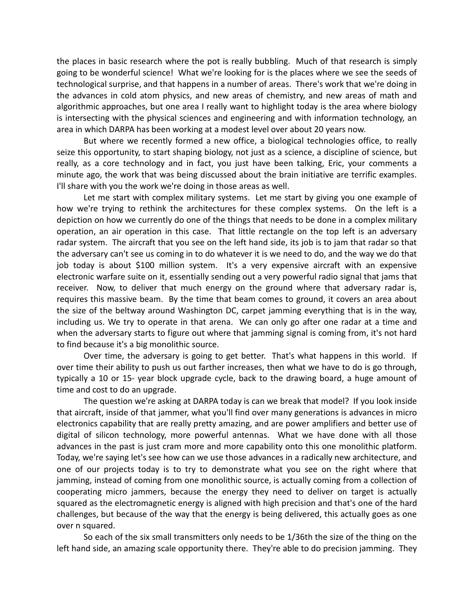the places in basic research where the pot is really bubbling. Much of that research is simply going to be wonderful science! What we're looking for is the places where we see the seeds of technological surprise, and that happens in a number of areas. There's work that we're doing in the advances in cold atom physics, and new areas of chemistry, and new areas of math and algorithmic approaches, but one area I really want to highlight today is the area where biology is intersecting with the physical sciences and engineering and with information technology, an area in which DARPA has been working at a modest level over about 20 years now.

But where we recently formed a new office, a biological technologies office, to really seize this opportunity, to start shaping biology, not just as a science, a discipline of science, but really, as a core technology and in fact, you just have been talking, Eric, your comments a minute ago, the work that was being discussed about the brain initiative are terrific examples. I'll share with you the work we're doing in those areas as well.

Let me start with complex military systems. Let me start by giving you one example of how we're trying to rethink the architectures for these complex systems. On the left is a depiction on how we currently do one of the things that needs to be done in a complex military operation, an air operation in this case. That little rectangle on the top left is an adversary radar system. The aircraft that you see on the left hand side, its job is to jam that radar so that the adversary can't see us coming in to do whatever it is we need to do, and the way we do that job today is about \$100 million system. It's a very expensive aircraft with an expensive electronic warfare suite on it, essentially sending out a very powerful radio signal that jams that receiver. Now, to deliver that much energy on the ground where that adversary radar is, requires this massive beam. By the time that beam comes to ground, it covers an area about the size of the beltway around Washington DC, carpet jamming everything that is in the way, including us. We try to operate in that arena. We can only go after one radar at a time and when the adversary starts to figure out where that jamming signal is coming from, it's not hard to find because it's a big monolithic source.

Over time, the adversary is going to get better. That's what happens in this world. If over time their ability to push us out farther increases, then what we have to do is go through, typically a 10 or 15- year block upgrade cycle, back to the drawing board, a huge amount of time and cost to do an upgrade.

The question we're asking at DARPA today is can we break that model? If you look inside that aircraft, inside of that jammer, what you'll find over many generations is advances in micro electronics capability that are really pretty amazing, and are power amplifiers and better use of digital of silicon technology, more powerful antennas. What we have done with all those advances in the past is just cram more and more capability onto this one monolithic platform. Today, we're saying let's see how can we use those advances in a radically new architecture, and one of our projects today is to try to demonstrate what you see on the right where that jamming, instead of coming from one monolithic source, is actually coming from a collection of cooperating micro jammers, because the energy they need to deliver on target is actually squared as the electromagnetic energy is aligned with high precision and that's one of the hard challenges, but because of the way that the energy is being delivered, this actually goes as one over n squared.

So each of the six small transmitters only needs to be 1/36th the size of the thing on the left hand side, an amazing scale opportunity there. They're able to do precision jamming. They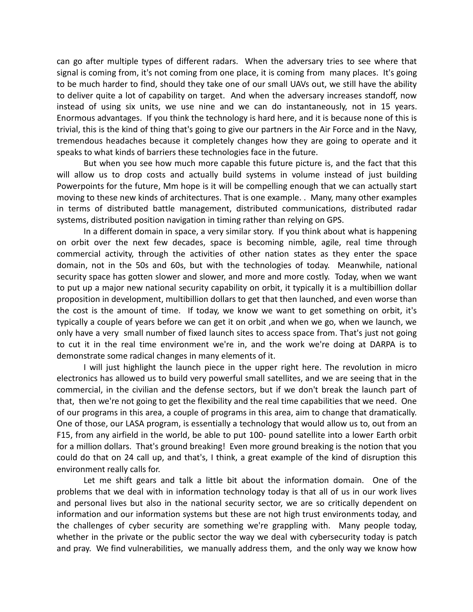can go after multiple types of different radars. When the adversary tries to see where that signal is coming from, it's not coming from one place, it is coming from many places. It's going to be much harder to find, should they take one of our small UAVs out, we still have the ability to deliver quite a lot of capability on target. And when the adversary increases standoff, now instead of using six units, we use nine and we can do instantaneously, not in 15 years. Enormous advantages. If you think the technology is hard here, and it is because none of this is trivial, this is the kind of thing that's going to give our partners in the Air Force and in the Navy, tremendous headaches because it completely changes how they are going to operate and it speaks to what kinds of barriers these technologies face in the future.

But when you see how much more capable this future picture is, and the fact that this will allow us to drop costs and actually build systems in volume instead of just building Powerpoints for the future, Mm hope is it will be compelling enough that we can actually start moving to these new kinds of architectures. That is one example. . Many, many other examples in terms of distributed battle management, distributed communications, distributed radar systems, distributed position navigation in timing rather than relying on GPS.

In a different domain in space, a very similar story. If you think about what is happening on orbit over the next few decades, space is becoming nimble, agile, real time through commercial activity, through the activities of other nation states as they enter the space domain, not in the 50s and 60s, but with the technologies of today. Meanwhile, national security space has gotten slower and slower, and more and more costly. Today, when we want to put up a major new national security capability on orbit, it typically it is a multibillion dollar proposition in development, multibillion dollars to get that then launched, and even worse than the cost is the amount of time. If today, we know we want to get something on orbit, it's typically a couple of years before we can get it on orbit ,and when we go, when we launch, we only have a very small number of fixed launch sites to access space from. That's just not going to cut it in the real time environment we're in, and the work we're doing at DARPA is to demonstrate some radical changes in many elements of it.

I will just highlight the launch piece in the upper right here. The revolution in micro electronics has allowed us to build very powerful small satellites, and we are seeing that in the commercial, in the civilian and the defense sectors, but if we don't break the launch part of that, then we're not going to get the flexibility and the real time capabilities that we need. One of our programs in this area, a couple of programs in this area, aim to change that dramatically. One of those, our LASA program, is essentially a technology that would allow us to, out from an F15, from any airfield in the world, be able to put 100- pound satellite into a lower Earth orbit for a million dollars. That's ground breaking! Even more ground breaking is the notion that you could do that on 24 call up, and that's, I think, a great example of the kind of disruption this environment really calls for.

Let me shift gears and talk a little bit about the information domain. One of the problems that we deal with in information technology today is that all of us in our work lives and personal lives but also in the national security sector, we are so critically dependent on information and our information systems but these are not high trust environments today, and the challenges of cyber security are something we're grappling with. Many people today, whether in the private or the public sector the way we deal with cybersecurity today is patch and pray. We find vulnerabilities, we manually address them, and the only way we know how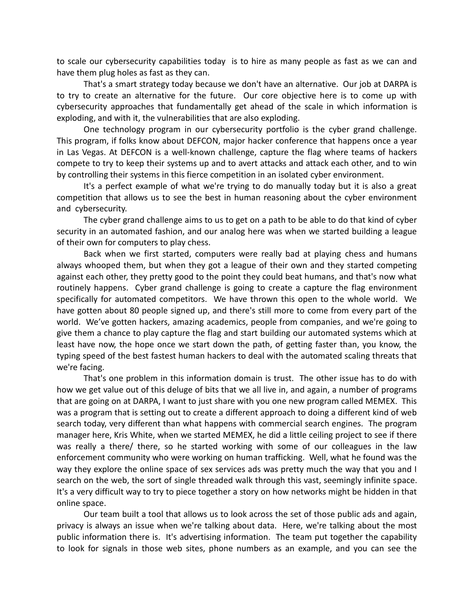to scale our cybersecurity capabilities today is to hire as many people as fast as we can and have them plug holes as fast as they can.

That's a smart strategy today because we don't have an alternative. Our job at DARPA is to try to create an alternative for the future. Our core objective here is to come up with cybersecurity approaches that fundamentally get ahead of the scale in which information is exploding, and with it, the vulnerabilities that are also exploding.

One technology program in our cybersecurity portfolio is the cyber grand challenge. This program, if folks know about DEFCON, major hacker conference that happens once a year in Las Vegas. At DEFCON is a well-known challenge, capture the flag where teams of hackers compete to try to keep their systems up and to avert attacks and attack each other, and to win by controlling their systems in this fierce competition in an isolated cyber environment.

It's a perfect example of what we're trying to do manually today but it is also a great competition that allows us to see the best in human reasoning about the cyber environment and cybersecurity.

The cyber grand challenge aims to us to get on a path to be able to do that kind of cyber security in an automated fashion, and our analog here was when we started building a league of their own for computers to play chess.

Back when we first started, computers were really bad at playing chess and humans always whooped them, but when they got a league of their own and they started competing against each other, they pretty good to the point they could beat humans, and that's now what routinely happens. Cyber grand challenge is going to create a capture the flag environment specifically for automated competitors. We have thrown this open to the whole world. We have gotten about 80 people signed up, and there's still more to come from every part of the world. We've gotten hackers, amazing academics, people from companies, and we're going to give them a chance to play capture the flag and start building our automated systems which at least have now, the hope once we start down the path, of getting faster than, you know, the typing speed of the best fastest human hackers to deal with the automated scaling threats that we're facing.

That's one problem in this information domain is trust. The other issue has to do with how we get value out of this deluge of bits that we all live in, and again, a number of programs that are going on at DARPA, I want to just share with you one new program called MEMEX. This was a program that is setting out to create a different approach to doing a different kind of web search today, very different than what happens with commercial search engines. The program manager here, Kris White, when we started MEMEX, he did a little ceiling project to see if there was really a there/ there, so he started working with some of our colleagues in the law enforcement community who were working on human trafficking. Well, what he found was the way they explore the online space of sex services ads was pretty much the way that you and I search on the web, the sort of single threaded walk through this vast, seemingly infinite space. It's a very difficult way to try to piece together a story on how networks might be hidden in that online space.

Our team built a tool that allows us to look across the set of those public ads and again, privacy is always an issue when we're talking about data. Here, we're talking about the most public information there is. It's advertising information. The team put together the capability to look for signals in those web sites, phone numbers as an example, and you can see the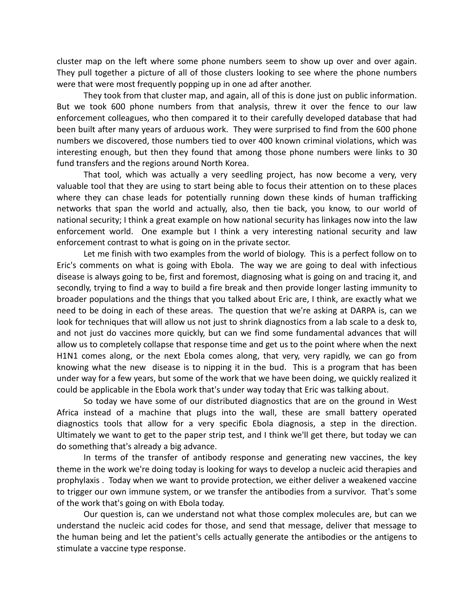cluster map on the left where some phone numbers seem to show up over and over again. They pull together a picture of all of those clusters looking to see where the phone numbers were that were most frequently popping up in one ad after another.

They took from that cluster map, and again, all of this is done just on public information. But we took 600 phone numbers from that analysis, threw it over the fence to our law enforcement colleagues, who then compared it to their carefully developed database that had been built after many years of arduous work. They were surprised to find from the 600 phone numbers we discovered, those numbers tied to over 400 known criminal violations, which was interesting enough, but then they found that among those phone numbers were links to 30 fund transfers and the regions around North Korea.

That tool, which was actually a very seedling project, has now become a very, very valuable tool that they are using to start being able to focus their attention on to these places where they can chase leads for potentially running down these kinds of human trafficking networks that span the world and actually, also, then tie back, you know, to our world of national security; I think a great example on how national security has linkages now into the law enforcement world. One example but I think a very interesting national security and law enforcement contrast to what is going on in the private sector.

Let me finish with two examples from the world of biology. This is a perfect follow on to Eric's comments on what is going with Ebola. The way we are going to deal with infectious disease is always going to be, first and foremost, diagnosing what is going on and tracing it, and secondly, trying to find a way to build a fire break and then provide longer lasting immunity to broader populations and the things that you talked about Eric are, I think, are exactly what we need to be doing in each of these areas. The question that we're asking at DARPA is, can we look for techniques that will allow us not just to shrink diagnostics from a lab scale to a desk to, and not just do vaccines more quickly, but can we find some fundamental advances that will allow us to completely collapse that response time and get us to the point where when the next H1N1 comes along, or the next Ebola comes along, that very, very rapidly, we can go from knowing what the new disease is to nipping it in the bud. This is a program that has been under way for a few years, but some of the work that we have been doing, we quickly realized it could be applicable in the Ebola work that's under way today that Eric was talking about.

So today we have some of our distributed diagnostics that are on the ground in West Africa instead of a machine that plugs into the wall, these are small battery operated diagnostics tools that allow for a very specific Ebola diagnosis, a step in the direction. Ultimately we want to get to the paper strip test, and I think we'll get there, but today we can do something that's already a big advance.

In terms of the transfer of antibody response and generating new vaccines, the key theme in the work we're doing today is looking for ways to develop a nucleic acid therapies and prophylaxis . Today when we want to provide protection, we either deliver a weakened vaccine to trigger our own immune system, or we transfer the antibodies from a survivor. That's some of the work that's going on with Ebola today.

Our question is, can we understand not what those complex molecules are, but can we understand the nucleic acid codes for those, and send that message, deliver that message to the human being and let the patient's cells actually generate the antibodies or the antigens to stimulate a vaccine type response.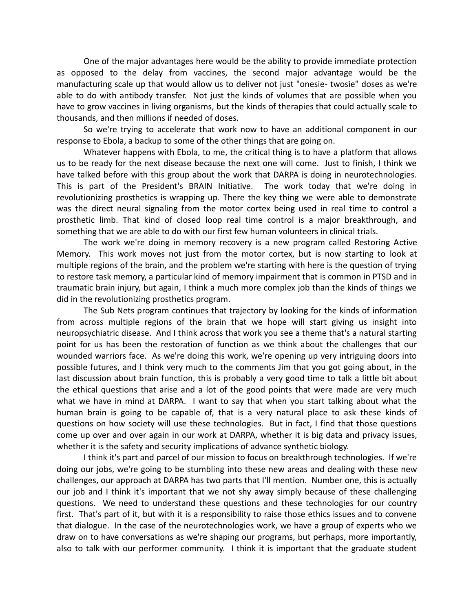One of the major advantages here would be the ability to provide immediate protection as opposed to the delay from vaccines, the second major advantage would be the manufacturing scale up that would allow us to deliver not just "onesie- twosie" doses as we're able to do with antibody transfer. Not just the kinds of volumes that are possible when you have to grow vaccines in living organisms, but the kinds of therapies that could actually scale to thousands, and then millions if needed of doses.

So we're trying to accelerate that work now to have an additional component in our response to Ebola, a backup to some of the other things that are going on.

Whatever happens with Ebola, to me, the critical thing is to have a platform that allows us to be ready for the next disease because the next one will come. Just to finish, I think we have talked before with this group about the work that DARPA is doing in neurotechnologies. This is part of the President's BRAIN Initiative. The work today that we're doing in revolutionizing prosthetics is wrapping up. There the key thing we were able to demonstrate was the direct neural signaling from the motor cortex being used in real time to control a prosthetic limb. That kind of closed loop real time control is a major breakthrough, and something that we are able to do with our first few human volunteers in clinical trials.

The work we're doing in memory recovery is a new program called Restoring Active Memory. This work moves not just from the motor cortex, but is now starting to look at multiple regions of the brain, and the problem we're starting with here is the question of trying to restore task memory, a particular kind of memory impairment that is common in PTSD and in traumatic brain injury, but again, I think a much more complex job than the kinds of things we did in the revolutionizing prosthetics program.

The Sub Nets program continues that trajectory by looking for the kinds of information from across multiple regions of the brain that we hope will start giving us insight into neuropsychiatric disease. And I think across that work you see a theme that's a natural starting point for us has been the restoration of function as we think about the challenges that our wounded warriors face. As we're doing this work, we're opening up very intriguing doors into possible futures, and I think very much to the comments Jim that you got going about, in the last discussion about brain function, this is probably a very good time to talk a little bit about the ethical questions that arise and a lot of the good points that were made are very much what we have in mind at DARPA. I want to say that when you start talking about what the human brain is going to be capable of, that is a very natural place to ask these kinds of questions on how society will use these technologies. But in fact, I find that those questions come up over and over again in our work at DARPA, whether it is big data and privacy issues, whether it is the safety and security implications of advance synthetic biology.

I think it's part and parcel of our mission to focus on breakthrough technologies. If we're doing our jobs, we're going to be stumbling into these new areas and dealing with these new challenges, our approach at DARPA has two parts that I'll mention. Number one, this is actually our job and I think it's important that we not shy away simply because of these challenging questions. We need to understand these questions and these technologies for our country first. That's part of it, but with it is a responsibility to raise those ethics issues and to convene that dialogue. In the case of the neurotechnologies work, we have a group of experts who we draw on to have conversations as we're shaping our programs, but perhaps, more importantly, also to talk with our performer community. I think it is important that the graduate student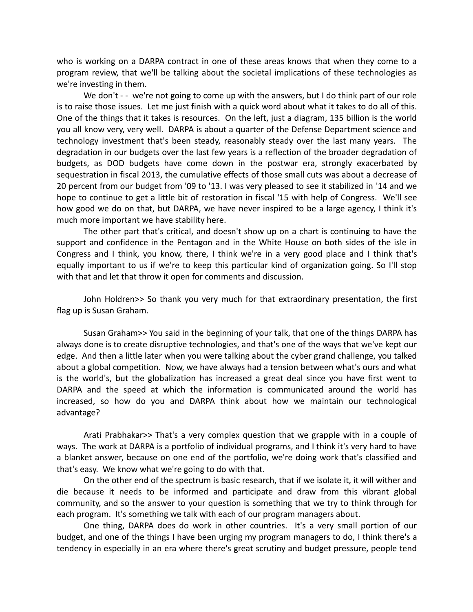who is working on a DARPA contract in one of these areas knows that when they come to a program review, that we'll be talking about the societal implications of these technologies as we're investing in them.

We don't - - we're not going to come up with the answers, but I do think part of our role is to raise those issues. Let me just finish with a quick word about what it takes to do all of this. One of the things that it takes is resources. On the left, just a diagram, 135 billion is the world you all know very, very well. DARPA is about a quarter of the Defense Department science and technology investment that's been steady, reasonably steady over the last many years. The degradation in our budgets over the last few years is a reflection of the broader degradation of budgets, as DOD budgets have come down in the postwar era, strongly exacerbated by sequestration in fiscal 2013, the cumulative effects of those small cuts was about a decrease of 20 percent from our budget from '09 to '13. I was very pleased to see it stabilized in '14 and we hope to continue to get a little bit of restoration in fiscal '15 with help of Congress. We'll see how good we do on that, but DARPA, we have never inspired to be a large agency, I think it's much more important we have stability here.

The other part that's critical, and doesn't show up on a chart is continuing to have the support and confidence in the Pentagon and in the White House on both sides of the isle in Congress and I think, you know, there, I think we're in a very good place and I think that's equally important to us if we're to keep this particular kind of organization going. So I'll stop with that and let that throw it open for comments and discussion.

John Holdren>> So thank you very much for that extraordinary presentation, the first flag up is Susan Graham.

Susan Graham>> You said in the beginning of your talk, that one of the things DARPA has always done is to create disruptive technologies, and that's one of the ways that we've kept our edge. And then a little later when you were talking about the cyber grand challenge, you talked about a global competition. Now, we have always had a tension between what's ours and what is the world's, but the globalization has increased a great deal since you have first went to DARPA and the speed at which the information is communicated around the world has increased, so how do you and DARPA think about how we maintain our technological advantage?

Arati Prabhakar>> That's a very complex question that we grapple with in a couple of ways. The work at DARPA is a portfolio of individual programs, and I think it's very hard to have a blanket answer, because on one end of the portfolio, we're doing work that's classified and that's easy. We know what we're going to do with that.

On the other end of the spectrum is basic research, that if we isolate it, it will wither and die because it needs to be informed and participate and draw from this vibrant global community, and so the answer to your question is something that we try to think through for each program. It's something we talk with each of our program managers about.

One thing, DARPA does do work in other countries. It's a very small portion of our budget, and one of the things I have been urging my program managers to do, I think there's a tendency in especially in an era where there's great scrutiny and budget pressure, people tend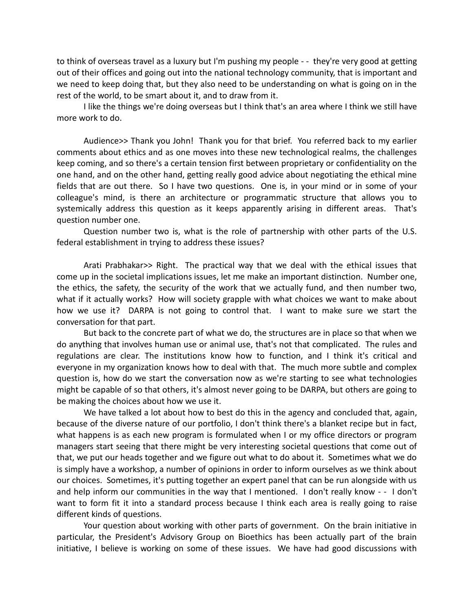to think of overseas travel as a luxury but I'm pushing my people - - they're very good at getting out of their offices and going out into the national technology community, that is important and we need to keep doing that, but they also need to be understanding on what is going on in the rest of the world, to be smart about it, and to draw from it.

I like the things we're doing overseas but I think that's an area where I think we still have more work to do.

Audience>> Thank you John! Thank you for that brief. You referred back to my earlier comments about ethics and as one moves into these new technological realms, the challenges keep coming, and so there's a certain tension first between proprietary or confidentiality on the one hand, and on the other hand, getting really good advice about negotiating the ethical mine fields that are out there. So I have two questions. One is, in your mind or in some of your colleague's mind, is there an architecture or programmatic structure that allows you to systemically address this question as it keeps apparently arising in different areas. That's question number one.

Question number two is, what is the role of partnership with other parts of the U.S. federal establishment in trying to address these issues?

Arati Prabhakar>> Right. The practical way that we deal with the ethical issues that come up in the societal implications issues, let me make an important distinction. Number one, the ethics, the safety, the security of the work that we actually fund, and then number two, what if it actually works? How will society grapple with what choices we want to make about how we use it? DARPA is not going to control that. I want to make sure we start the conversation for that part.

But back to the concrete part of what we do, the structures are in place so that when we do anything that involves human use or animal use, that's not that complicated. The rules and regulations are clear. The institutions know how to function, and I think it's critical and everyone in my organization knows how to deal with that. The much more subtle and complex question is, how do we start the conversation now as we're starting to see what technologies might be capable of so that others, it's almost never going to be DARPA, but others are going to be making the choices about how we use it.

We have talked a lot about how to best do this in the agency and concluded that, again, because of the diverse nature of our portfolio, I don't think there's a blanket recipe but in fact, what happens is as each new program is formulated when I or my office directors or program managers start seeing that there might be very interesting societal questions that come out of that, we put our heads together and we figure out what to do about it. Sometimes what we do is simply have a workshop, a number of opinions in order to inform ourselves as we think about our choices. Sometimes, it's putting together an expert panel that can be run alongside with us and help inform our communities in the way that I mentioned. I don't really know - - I don't want to form fit it into a standard process because I think each area is really going to raise different kinds of questions.

Your question about working with other parts of government. On the brain initiative in particular, the President's Advisory Group on Bioethics has been actually part of the brain initiative, I believe is working on some of these issues. We have had good discussions with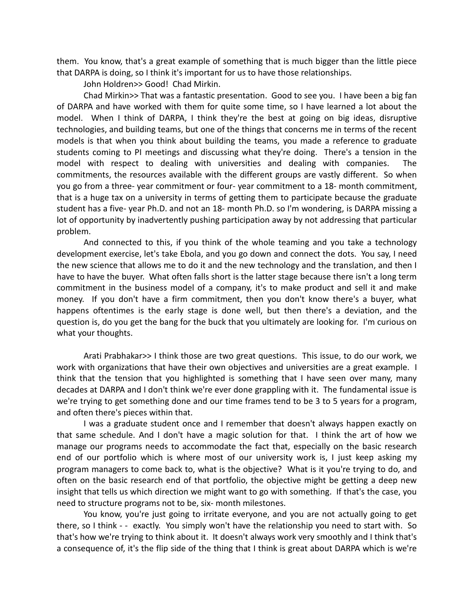them. You know, that's a great example of something that is much bigger than the little piece that DARPA is doing, so I think it's important for us to have those relationships.

John Holdren>> Good! Chad Mirkin.

Chad Mirkin>> That was a fantastic presentation. Good to see you. I have been a big fan of DARPA and have worked with them for quite some time, so I have learned a lot about the model. When I think of DARPA, I think they're the best at going on big ideas, disruptive technologies, and building teams, but one of the things that concerns me in terms of the recent models is that when you think about building the teams, you made a reference to graduate students coming to PI meetings and discussing what they're doing. There's a tension in the model with respect to dealing with universities and dealing with companies. The commitments, the resources available with the different groups are vastly different. So when you go from a three- year commitment or four- year commitment to a 18- month commitment, that is a huge tax on a university in terms of getting them to participate because the graduate student has a five- year Ph.D. and not an 18- month Ph.D. so I'm wondering, is DARPA missing a lot of opportunity by inadvertently pushing participation away by not addressing that particular problem.

And connected to this, if you think of the whole teaming and you take a technology development exercise, let's take Ebola, and you go down and connect the dots. You say, I need the new science that allows me to do it and the new technology and the translation, and then I have to have the buyer. What often falls short is the latter stage because there isn't a long term commitment in the business model of a company, it's to make product and sell it and make money. If you don't have a firm commitment, then you don't know there's a buyer, what happens oftentimes is the early stage is done well, but then there's a deviation, and the question is, do you get the bang for the buck that you ultimately are looking for. I'm curious on what your thoughts.

Arati Prabhakar>> I think those are two great questions. This issue, to do our work, we work with organizations that have their own objectives and universities are a great example. I think that the tension that you highlighted is something that I have seen over many, many decades at DARPA and I don't think we're ever done grappling with it. The fundamental issue is we're trying to get something done and our time frames tend to be 3 to 5 years for a program, and often there's pieces within that.

I was a graduate student once and I remember that doesn't always happen exactly on that same schedule. And I don't have a magic solution for that. I think the art of how we manage our programs needs to accommodate the fact that, especially on the basic research end of our portfolio which is where most of our university work is, I just keep asking my program managers to come back to, what is the objective? What is it you're trying to do, and often on the basic research end of that portfolio, the objective might be getting a deep new insight that tells us which direction we might want to go with something. If that's the case, you need to structure programs not to be, six- month milestones.

You know, you're just going to irritate everyone, and you are not actually going to get there, so I think - - exactly. You simply won't have the relationship you need to start with. So that's how we're trying to think about it. It doesn't always work very smoothly and I think that's a consequence of, it's the flip side of the thing that I think is great about DARPA which is we're